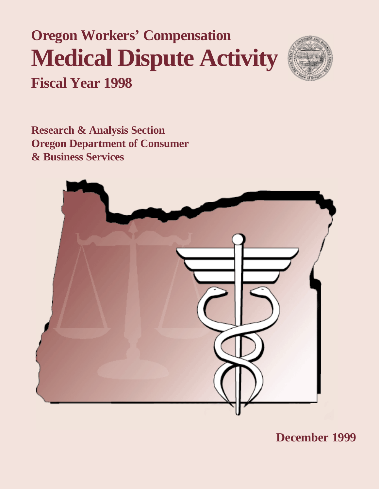# **Oregon Workers' Compensation Medical Dispute Activity Fiscal Year 1998**



**Research & Analysis Section Oregon Department of Consumer & Business Services**



**December 1999**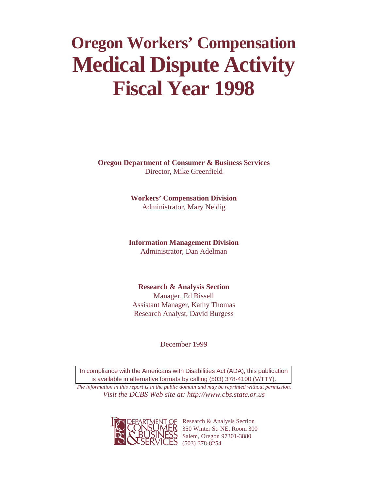# **Oregon Workers' Compensation Medical Dispute Activity Fiscal Year 1998**

**Oregon Department of Consumer & Business Services** Director, Mike Greenfield

> **Workers' Compensation Division** Administrator, Mary Neidig

**Information Management Division** Administrator, Dan Adelman

**Research & Analysis Section** Manager, Ed Bissell Assistant Manager, Kathy Thomas Research Analyst, David Burgess

December 1999

In compliance with the Americans with Disabilities Act (ADA), this publication is available in alternative formats by calling (503) 378-4100 (V/TTY).

*The information in this report is in the public domain and may be reprinted without permission. Visit the DCBS Web site at: http://www.cbs.state.or.us*



AENT OF Research & Analysis Section 350 Winter St. NE, Room 300 Salem, Oregon 97301-3880  $5(503) 378 - 8254$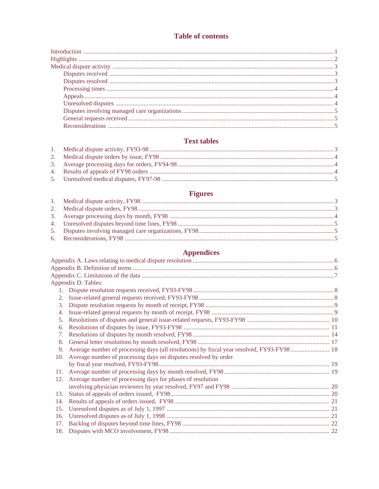## **Table of contents**

## **Text tables**

## **Figures**

| 6.  |                                                                 |  |
|-----|-----------------------------------------------------------------|--|
|     |                                                                 |  |
|     | <b>Appendices</b>                                               |  |
|     |                                                                 |  |
|     |                                                                 |  |
|     |                                                                 |  |
|     | Appendix D. Tables:                                             |  |
|     |                                                                 |  |
| 2.  |                                                                 |  |
| 3.  |                                                                 |  |
| 4.  |                                                                 |  |
| 5.  |                                                                 |  |
| 6.  |                                                                 |  |
| 7.  |                                                                 |  |
| 8.  |                                                                 |  |
| 9.  |                                                                 |  |
| 10. | Average number of processing days on disputes resolved by order |  |
|     |                                                                 |  |
| 11. |                                                                 |  |
| 12. | Average number of processing days for phases of resolution      |  |
|     |                                                                 |  |
| 13. |                                                                 |  |
| 14. |                                                                 |  |
| 15. |                                                                 |  |
| 16. |                                                                 |  |
| 17. |                                                                 |  |
| 18. |                                                                 |  |
|     |                                                                 |  |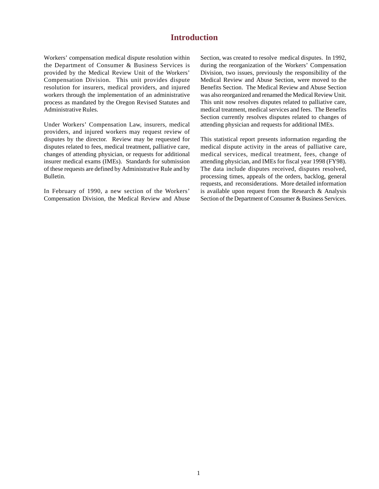## **Introduction**

Workers' compensation medical dispute resolution within the Department of Consumer & Business Services is provided by the Medical Review Unit of the Workers' Compensation Division. This unit provides dispute resolution for insurers, medical providers, and injured workers through the implementation of an administrative process as mandated by the Oregon Revised Statutes and Administrative Rules.

Under Workers' Compensation Law, insurers, medical providers, and injured workers may request review of disputes by the director. Review may be requested for disputes related to fees, medical treatment, palliative care, changes of attending physician, or requests for additional insurer medical exams (IMEs). Standards for submission of these requests are defined by Administrative Rule and by Bulletin.

In February of 1990, a new section of the Workers' Compensation Division, the Medical Review and Abuse Section, was created to resolve medical disputes. In 1992, during the reorganization of the Workers' Compensation Division, two issues, previously the responsibility of the Medical Review and Abuse Section, were moved to the Benefits Section. The Medical Review and Abuse Section was also reorganized and renamed the Medical Review Unit. This unit now resolves disputes related to palliative care, medical treatment, medical services and fees. The Benefits Section currently resolves disputes related to changes of attending physician and requests for additional IMEs.

This statistical report presents information regarding the medical dispute activity in the areas of palliative care, medical services, medical treatment, fees, change of attending physician, and IMEs for fiscal year 1998 (FY98). The data include disputes received, disputes resolved, processing times, appeals of the orders, backlog, general requests, and reconsiderations. More detailed information is available upon request from the Research & Analysis Section of the Department of Consumer & Business Services.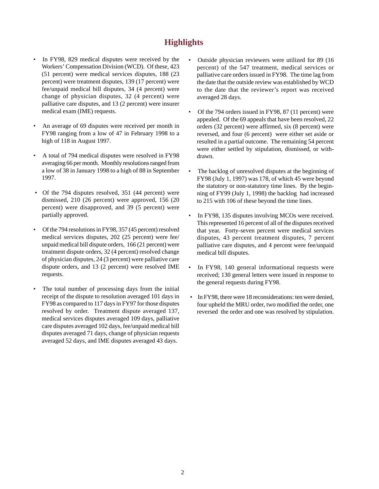## **Highlights**

- In FY98, 829 medical disputes were received by the Workers' Compensation Division (WCD). Of these, 423 (51 percent) were medical services disputes, 188 (23 percent) were treatment disputes, 139 (17 percent) were fee/unpaid medical bill disputes, 34 (4 percent) were change of physician disputes, 32 (4 percent) were palliative care disputes, and 13 (2 percent) were insurer medical exam (IME) requests.
- An average of 69 disputes were received per month in FY98 ranging from a low of 47 in February 1998 to a high of 118 in August 1997.
- A total of 794 medical disputes were resolved in FY98 averaging 66 per month. Monthly resolutions ranged from a low of 38 in January 1998 to a high of 88 in September 1997.
- Of the 794 disputes resolved, 351 (44 percent) were dismissed, 210 (26 percent) were approved, 156 (20 percent) were disapproved, and 39 (5 percent) were partially approved.
- Of the 794 resolutions in FY98, 357 (45 percent) resolved medical services disputes, 202 (25 percent) were fee/ unpaid medical bill dispute orders, 166 (21 percent) were treatment dispute orders, 32 (4 percent) resolved change of physician disputes, 24 (3 percent) were palliative care dispute orders, and 13 (2 percent) were resolved IME requests.
- The total number of processing days from the initial receipt of the dispute to resolution averaged 101 days in FY98 as compared to 117 days in FY97 for those disputes resolved by order. Treatment dispute averaged 137, medical services disputes averaged 109 days, palliative care disputes averaged 102 days, fee/unpaid medical bill disputes averaged 71 days, change of physician requests averaged 52 days, and IME disputes averaged 43 days.
- Outside physician reviewers were utilized for 89 (16 percent) of the 547 treatment, medical services or palliative care orders issued in FY98. The time lag from the date that the outside review was established by WCD to the date that the reviewer's report was received averaged 28 days.
- Of the 794 orders issued in FY98, 87 (11 percent) were appealed. Of the 69 appeals that have been resolved, 22 orders (32 percent) were affirmed, six (8 percent) were reversed, and four (6 percent) were either set aside or resulted in a partial outcome. The remaining 54 percent were either settled by stipulation, dismissed, or withdrawn.
- The backlog of unresolved disputes at the beginning of FY98 (July 1, 1997) was 178, of which 45 were beyond the statutory or non-statutory time lines. By the beginning of FY99 (July 1, 1998) the backlog had increased to 215 with 106 of these beyond the time lines.
- In FY98, 135 disputes involving MCOs were received. This represented 16 percent of all of the disputes received that year. Forty-seven percent were medical services disputes, 43 percent treatment disputes, 7 percent palliative care disputes, and 4 percent were fee/unpaid medical bill disputes.
- In FY98, 140 general informational requests were received; 130 general letters were issued in response to the general requests during FY98.
- In FY98, there were 18 reconsiderations: ten were denied, four upheld the MRU order, two modified the order, one reversed the order and one was resolved by stipulation.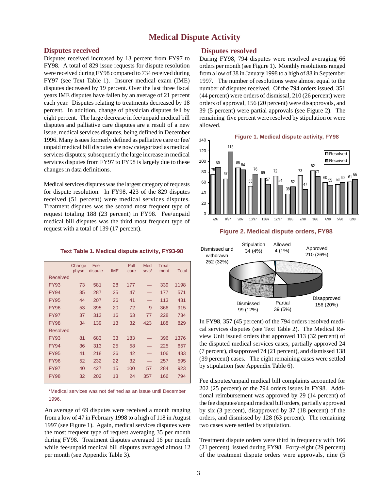## **Medical Dispute Activity**

#### **Disputes received**

Disputes received increased by 13 percent from FY97 to FY98. A total of 829 issue requests for dispute resolution were received during FY98 compared to 734 received during FY97 (see Text Table 1). Insurer medical exam (IME) disputes decreased by 19 percent. Over the last three fiscal years IME disputes have fallen by an average of 21 percent each year. Disputes relating to treatments decreased by 18 percent. In addition, change of physician disputes fell by eight percent. The large decrease in fee/unpaid medical bill disputes and palliative care disputes are a result of a new issue, medical services disputes, being defined in December 1996. Many issues formerly defined as palliative care or fee/ unpaid medical bill disputes are now categorized as medical services disputes; subsequently the large increase in medical services disputes from FY97 to FY98 is largely due to these changes in data definitions.

Medical services disputes was the largest category of requests for dispute resolution. In FY98, 423 of the 829 disputes received (51 percent) were medical services disputes. Treatment disputes was the second most frequent type of request totaling 188 (23 percent) in FY98. Fee/unpaid medical bill disputes was the third most frequent type of request with a total of 139 (17 percent).

**Text Table 1. Medical dispute activity, FY93-98**

|                 | Change<br>physn | Fee<br>dispute | <b>IME</b> | Pall<br>care | Med<br>SIVS <sup>*</sup> | Treat-<br>ment | <b>Total</b> |
|-----------------|-----------------|----------------|------------|--------------|--------------------------|----------------|--------------|
| Received        |                 |                |            |              |                          |                |              |
| <b>FY93</b>     | 73              | 581            | 28         | 177          |                          | 339            | 1198         |
| <b>FY94</b>     | 35              | 287            | 25         | 47           |                          | 177            | 571          |
| <b>FY95</b>     | 44              | 207            | 26         | 41           |                          | 113            | 431          |
| <b>FY96</b>     | 53              | 395            | 20         | 72           | 9                        | 366            | 915          |
| <b>FY97</b>     | 37              | 313            | 16         | 63           | 77                       | 228            | 734          |
| <b>FY98</b>     | 34              | 139            | 13         | 32           | 423                      | 188            | 829          |
| <b>Resolved</b> |                 |                |            |              |                          |                |              |
| <b>FY93</b>     | 81              | 683            | 33         | 183          |                          | 396            | 1376         |
| <b>FY94</b>     | 36              | 313            | 25         | 58           |                          | 225            | 657          |
| <b>FY95</b>     | 41              | 218            | 26         | 42           |                          | 106            | 433          |
| <b>FY96</b>     | 52              | 232            | 22         | 32           |                          | 257            | 595          |
| <b>FY97</b>     | 40              | 427            | 15         | 100          | 57                       | 284            | 923          |
| <b>FY98</b>     | 32              | 202            | 13         | 24           | 357                      | 166            | 794          |

\*Medical services was not defined as an issue until December 1996.

An average of 69 disputes were received a month ranging from a low of 47 in February 1998 to a high of 118 in August 1997 (see Figure 1). Again, medical services disputes were the most frequent type of request averaging 35 per month during FY98. Treatment disputes averaged 16 per month while fee/unpaid medical bill disputes averaged almost 12 per month (see Appendix Table 3).

#### **Disputes resolved**

During FY98, 794 disputes were resolved averaging 66 orders per month (see Figure 1). Monthly resolutions ranged from a low of 38 in January 1998 to a high of 88 in September 1997. The number of resolutions were almost equal to the number of disputes received. Of the 794 orders issued, 351 (44 percent) were orders of dismissal, 210 (26 percent) were orders of approval, 156 (20 percent) were disapprovals, and 39 (5 percent) were partial approvals (see Figure 2). The remaining five percent were resolved by stipulation or were allowed.



**Figure 2. Medical dispute orders, FY98**



In FY98, 357 (45 percent) of the 794 orders resolved medical services disputes (see Text Table 2). The Medical Review Unit issued orders that approved 113 (32 percent) of the disputed medical services cases, partially approved 24 (7 percent), disapproved 74 (21 percent), and dismissed 138 (39 percent) cases. The eight remaining cases were settled by stipulation (see Appendix Table 6).

Fee disputes/unpaid medical bill complaints accounted for 202 (25 percent) of the 794 orders issues in FY98. Additional reimbursement was approved by 29 (14 percent) of the fee disputes/unpaid medical bill orders, partially approved by six (3 percent), disapproved by 37 (18 percent) of the orders, and dismissed by 128 (63 percent). The remaining two cases were settled by stipulation.

Treatment dispute orders were third in frequency with 166 (21 percent) issued during FY98. Forty-eight (29 percent) of the treatment dispute orders were approvals, nine (5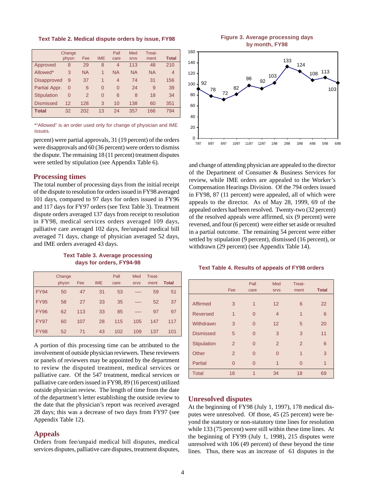**Text Table 2. Medical dispute orders by issue, FY98**

|                    | Change<br>physn | Fee            | <b>IME</b>     | Pall<br>care | Med<br><b>SIVS</b> | Treat-<br>ment | <b>Total</b> |
|--------------------|-----------------|----------------|----------------|--------------|--------------------|----------------|--------------|
| Approved           | 8               | 29             | 8              | 4            | 113                | 48             | 210          |
| Allowed*           | 3               | <b>NA</b>      | 1              | <b>NA</b>    | <b>NA</b>          | <b>NA</b>      | 4            |
| <b>Disapproved</b> | 9               | 37             | 1              | 4            | 74                 | 31             | 156          |
| Partial Appr.      | $\overline{0}$  | 6              | $\Omega$       | $\Omega$     | 24                 | 9              | 39           |
| <b>Stipulation</b> | 0               | $\overline{2}$ | $\overline{0}$ | 6            | 8                  | 18             | 34           |
| <b>Dismissed</b>   | 12              | 128            | 3              | 10           | 138                | 60             | 351          |
| <b>Total</b>       | 32              | 202            | 13             | 24           | 357                | 166            | 794          |

\*"Allowed" is an order used only for change of physician and IME issues.

were disapprovals and 60 (36 percent) were orders to dismiss the dispute. The remaining 18 (11 percent) treatment disputes were settled by stipulation (see Appendix Table 6).

#### **Processing times**

The total number of processing days from the initial receipt of the dispute to resolution for orders issued in FY98 averaged 101 days, compared to 97 days for orders issued in FY96 and 117 days for FY97 orders (see Text Table 3). Treatment dispute orders averaged 137 days from receipt to resolution in FY98, medical services orders averaged 109 days, palliative care averaged 102 days, fee/unpaid medical bill averaged 71 days, change of physician averaged 52 days, and IME orders averaged 43 days.

**Text Table 3. Average processing days for orders, FY94-98**

|             | Change |     |            | Pall | Med         | Treat- |              |
|-------------|--------|-----|------------|------|-------------|--------|--------------|
|             | physn  | Fee | <b>IME</b> | care | <b>SIVS</b> | ment   | <b>Total</b> |
| <b>FY94</b> | 50     | 47  | 31         | 53   |             | 59     | 51           |
| <b>FY95</b> | 58     | 27  | 33         | 35   |             | 52     | 37           |
| <b>FY96</b> | 62     | 113 | 33         | 85   |             | 97     | 97           |
| <b>FY97</b> | 60     | 107 | 28         | 115  | 105         | 147    | 117          |
| <b>FY98</b> | 52     | 71  | 43         | 102  | 109         | 137    | 101          |

A portion of this processing time can be attributed to the involvement of outside physician reviewers. These reviewers or panels of reviewers may be appointed by the department to review the disputed treatment, medical services or palliative care. Of the 547 treatment, medical services or palliative care orders issued in FY98, 89 (16 percent) utilized outside physician review. The length of time from the date of the department's letter establishing the outside review to the date that the physician's report was received averaged 28 days; this was a decrease of two days from FY97 (see Appendix Table 12).

#### **Appeals**

Orders from fee/unpaid medical bill disputes, medical services disputes, palliative care disputes, treatment disputes,

**Figure 3. Average processing days by month, FY98**



and change of attending physician are appealed to the director of the Department of Consumer & Business Services for review, while IME orders are appealed to the Worker's Compensation Hearings Division. Of the 794 orders issued in FY98, 87 (11 percent) were appealed, all of which were appeals to the director. As of May 28, 1999, 69 of the appealed orders had been resolved. Twenty-two (32 percent) of the resolved appeals were affirmed, six (9 percent) were reversed, and four (6 percent) were either set aside or resulted in a partial outcome. The remaining 54 percent were either settled by stipulation (9 percent), dismissed (16 percent), or withdrawn (29 percent) (see Appendix Table 14).

#### **Text Table 4. Results of appeals of FY98 orders**

|                  | Fee            | Pall<br>care   | Med<br><b>SIVS</b> | Treat-<br>ment | <b>Total</b> |
|------------------|----------------|----------------|--------------------|----------------|--------------|
| Affirmed         | 3              | 1              | 12                 | 6              | 22           |
| <b>Reversed</b>  | $\overline{1}$ | $\Omega$       | $\overline{4}$     | $\overline{1}$ | 6            |
| Withdrawn        | 3              | $\Omega$       | 12                 | 5              | 20           |
| <b>Dismissed</b> | 5              | $\Omega$       | 3                  | 3              | 11           |
| Stipulation      | $\overline{2}$ | $\Omega$       | $\overline{2}$     | 2              | 6            |
| Other            | $\overline{2}$ | $\Omega$       | $\Omega$           | 1              | 3            |
| Partial          | $\Omega$       | $\overline{0}$ | 1                  | $\Omega$       | 1            |
| <b>Total</b>     | 16             | $\overline{1}$ | 34                 | 18             | 69           |

#### **Unresolved disputes**

At the beginning of FY98 (July 1, 1997), 178 medical disputes were unresolved. Of those, 45 (25 percent) were beyond the statutory or non-statutory time lines for resolution while 133 (75 percent) were still within these time lines. At the beginning of FY99 (July 1, 1998), 215 disputes were unresolved with 106 (49 percent) of these beyond the time lines. Thus, there was an increase of 61 disputes in the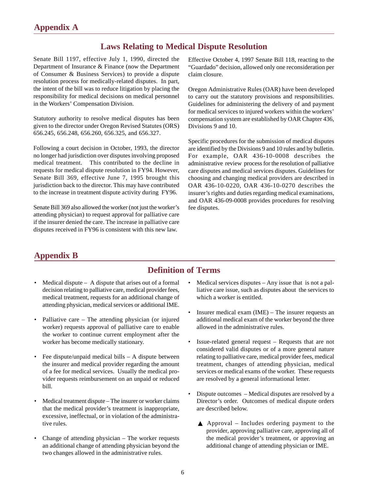## **Laws Relating to Medical Dispute Resolution**

Senate Bill 1197, effective July 1, 1990, directed the Department of Insurance & Finance (now the Department of Consumer & Business Services) to provide a dispute resolution process for medically-related disputes. In part, the intent of the bill was to reduce litigation by placing the responsibility for medical decisions on medical personnel in the Workers' Compensation Division.

Statutory authority to resolve medical disputes has been given to the director under Oregon Revised Statutes (ORS) 656.245, 656.248, 656.260, 656.325, and 656.327.

Following a court decision in October, 1993, the director no longer had jurisdiction over disputes involving proposed medical treatment. This contributed to the decline in requests for medical dispute resolution in FY94. However, Senate Bill 369, effective June 7, 1995 brought this jurisdiction back to the director. This may have contributed to the increase in treatment dispute activity during FY96.

Senate Bill 369 also allowed the worker (not just the worker's attending physician) to request approval for palliative care if the insurer denied the care. The increase in palliative care disputes received in FY96 is consistent with this new law.

Effective October 4, 1997 Senate Bill 118, reacting to the "Guardado" decision, allowed only one reconsideration per claim closure.

Oregon Administrative Rules (OAR) have been developed to carry out the statutory provisions and responsibilities. Guidelines for administering the delivery of and payment for medical services to injured workers within the workers' compensation system are established by OAR Chapter 436, Divisions 9 and 10.

Specific procedures for the submission of medical disputes are identified by the Divisions 9 and 10 rules and by bulletin. For example, OAR 436-10-0008 describes the administrative review process for the resolution of palliative care disputes and medical services disputes. Guidelines for choosing and changing medical providers are described in OAR 436-10-0220, OAR 436-10-0270 describes the insurer's rights and duties regarding medical examinations, and OAR 436-09-0008 provides procedures for resolving fee disputes.

## **Appendix B**

## **Definition of Terms**

- Medical dispute A dispute that arises out of a formal decision relating to palliative care, medical provider fees, medical treatment, requests for an additional change of attending physician, medical services or additional IME.
- Palliative care The attending physician (or injured worker) requests approval of palliative care to enable the worker to continue current employment after the worker has become medically stationary.
- Fee dispute/unpaid medical bills  $A$  dispute between the insurer and medical provider regarding the amount of a fee for medical services. Usually the medical provider requests reimbursement on an unpaid or reduced bill.
- Medical treatment dispute The insurer or worker claims that the medical provider's treatment is inappropriate, excessive, ineffectual, or in violation of the administrative rules.
- Change of attending physician  $-$  The worker requests an additional change of attending physician beyond the two changes allowed in the administrative rules.
- Medical services disputes  $-$  Any issue that is not a palliative care issue, such as disputes about the services to which a worker is entitled.
- Insurer medical exam  $(IME)$  The insurer requests an additional medical exam of the worker beyond the three allowed in the administrative rules.
- Issue-related general request Requests that are not considered valid disputes or of a more general nature relating to palliative care, medical provider fees, medical treatment, changes of attending physician, medical services or medical exams of the worker. These requests are resolved by a general informational letter.
- Dispute outcomes Medical disputes are resolved by a Director's order. Outcomes of medical dispute orders are described below.
	- ▲ Approval Includes ordering payment to the provider, approving palliative care, approving all of the medical provider's treatment, or approving an additional change of attending physician or IME.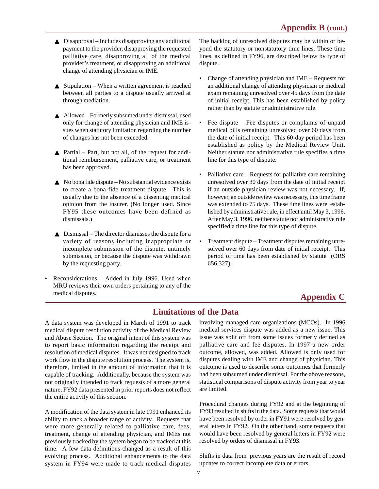- $\triangle$  Disapproval Includes disapproving any additional payment to the provider, disapproving the requested palliative care, disapproving all of the medical provider's treatment, or disapproving an additional change of attending physician or IME.
- $\triangle$  Stipulation When a written agreement is reached between all parties to a dispute usually arrived at through mediation.
- ▲ Allowed Formerly subsumed under dismissal, used only for change of attending physician and IME issues when statutory limitation regarding the number of changes has not been exceeded.
- $\blacktriangle$  Partial Part, but not all, of the request for additional reimbursement, palliative care, or treatment has been approved.
- $\triangle$  No bona fide dispute No substantial evidence exists to create a bona fide treatment dispute. This is usually due to the absence of a dissenting medical opinion from the insurer. (No longer used. Since FY95 these outcomes have been defined as dismissals.)
- $\triangle$  Dismissal The director dismisses the dispute for a variety of reasons including inappropriate or incomplete submission of the dispute, untimely submission, or because the dispute was withdrawn by the requesting party.
- Reconsiderations Added in July 1996. Used when MRU reviews their own orders pertaining to any of the medical disputes.

The backlog of unresolved disputes may be within or beyond the statutory or nonstatutory time lines. These time lines, as defined in FY96, are described below by type of dispute.

- Change of attending physician and IME Requests for an additional change of attending physician or medical exam remaining unresolved over 45 days from the date of initial receipt. This has been established by policy rather than by statute or administrative rule.
- Fee dispute Fee disputes or complaints of unpaid medical bills remaining unresolved over 60 days from the date of initial receipt. This 60-day period has been established as policy by the Medical Review Unit. Neither statute nor administrative rule specifies a time line for this type of dispute.
- Palliative care Requests for palliative care remaining unresolved over 30 days from the date of initial receipt if an outside physician review was not necessary. If, however, an outside review was necessary, this time frame was extended to 75 days. These time lines were established by administrative rule, in effect until May 3, 1996. After May 3, 1996, neither statute nor administrative rule specified a time line for this type of dispute.
- Treatment dispute Treatment disputes remaining unresolved over 60 days from date of initial receipt. This period of time has been established by statute (ORS 656.327).

## **Appendix C**

## **Limitations of the Data**

A data system was developed in March of 1991 to track medical dispute resolution activity of the Medical Review and Abuse Section. The original intent of this system was to report basic information regarding the receipt and resolution of medical disputes. It was not designed to track work flow in the dispute resolution process. The system is, therefore, limited in the amount of information that it is capable of tracking. Additionally, because the system was not originally intended to track requests of a more general nature, FY92 data presented in prior reports does not reflect the entire activity of this section.

A modification of the data system in late 1991 enhanced its ability to track a broader range of activity. Requests that were more generally related to palliative care, fees, treatment, change of attending physician, and IMEs not previously tracked by the system began to be tracked at this time. A few data definitions changed as a result of this evolving process. Additional enhancements to the data system in FY94 were made to track medical disputes involving managed care organizations (MCOs). In 1996 medical services dispute was added as a new issue. This issue was split off from some issues formerly defined as palliative care and fee disputes. In 1997 a new order outcome, allowed, was added. Allowed is only used for disputes dealing with IME and change of physician. This outcome is used to describe some outcomes that formerly had been subsumed under dismissal. For the above reasons, statistical comparisons of dispute activity from year to year are limited.

Procedural changes during FY92 and at the beginning of FY93 resulted in shifts in the data. Some requests that would have been resolved by order in FY91 were resolved by general letters in FY92. On the other hand, some requests that would have been resolved by general letters in FY92 were resolved by orders of dismissal in FY93.

Shifts in data from previous years are the result of record updates to correct incomplete data or errors.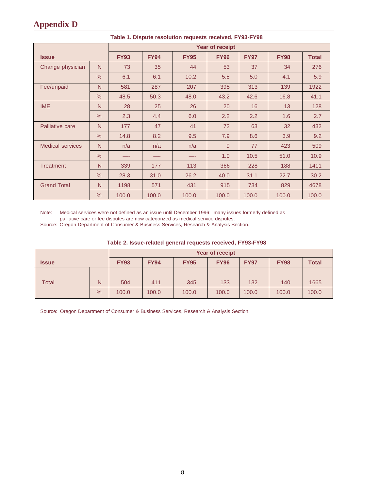## **Appendix D**

|                         |               | <b>Year of receipt</b> |             |             |             |             |             |              |  |  |  |  |
|-------------------------|---------------|------------------------|-------------|-------------|-------------|-------------|-------------|--------------|--|--|--|--|
| <b>Issue</b>            |               | <b>FY93</b>            | <b>FY94</b> | <b>FY95</b> | <b>FY96</b> | <b>FY97</b> | <b>FY98</b> | <b>Total</b> |  |  |  |  |
| Change physician        | N.            | 73                     | 35          | 44          | 53          | 37          | 34          | 276          |  |  |  |  |
|                         | $\frac{0}{0}$ | 6.1                    | 6.1         | 10.2        | 5.8         | 5.0         | 4.1         | 5.9          |  |  |  |  |
| Fee/unpaid              | N             | 581                    | 287         | 207         | 395         | 313         | 139         | 1922         |  |  |  |  |
|                         | $\frac{0}{0}$ | 48.5                   | 50.3        | 48.0        | 43.2        | 42.6        | 16.8        | 41.1         |  |  |  |  |
| <b>IME</b><br>N         |               | 28                     | 25          | 26          | 20          | 16          | 13          | 128          |  |  |  |  |
|                         | $\frac{0}{0}$ | 2.3                    | 4.4         | 6.0         | 2.2         | 2.2         | 1.6         | 2.7          |  |  |  |  |
| Palliative care         | N             | 177                    | 47          | 41          | 72          | 63          | 32          | 432          |  |  |  |  |
|                         | $\frac{0}{0}$ | 14.8                   | 8.2         | 9.5         | 7.9         | 8.6         | 3.9         | 9.2          |  |  |  |  |
| <b>Medical services</b> | N.            | n/a                    | n/a         | n/a         | 9           | 77          | 423         | 509          |  |  |  |  |
|                         | $\frac{0}{0}$ |                        |             |             | 1.0         | 10.5        | 51.0        | 10.9         |  |  |  |  |
| <b>Treatment</b>        | N             | 339                    | 177         | 113         | 366         | 228         | 188         | 1411         |  |  |  |  |
|                         | $\frac{0}{0}$ | 28.3                   | 31.0        | 26.2        | 40.0        | 31.1        | 22.7        | 30.2         |  |  |  |  |
| <b>Grand Total</b>      | N             | 1198                   | 571         | 431         | 915         | 734         | 829         | 4678         |  |  |  |  |
|                         | $\%$          | 100.0                  | 100.0       | 100.0       | 100.0       | 100.0       | 100.0       | 100.0        |  |  |  |  |

#### **Table 1. Dispute resolution requests received, FY93-FY98**

Note: Medical services were not defined as an issue until December 1996; many issues formerly defined as palliative care or fee disputes are now categorized as medical service disputes. Source: Oregon Department of Consumer & Business Services, Research & Analysis Section.

| Table 2. Issue-related general requests received, FY93-FY98 |
|-------------------------------------------------------------|
|-------------------------------------------------------------|

|              |               | <b>Year of receipt</b> |             |             |             |             |             |              |  |  |  |
|--------------|---------------|------------------------|-------------|-------------|-------------|-------------|-------------|--------------|--|--|--|
| <b>Issue</b> |               | <b>FY93</b>            | <b>FY94</b> | <b>FY95</b> | <b>FY96</b> | <b>FY97</b> | <b>FY98</b> | <b>Total</b> |  |  |  |
|              |               |                        |             |             |             |             |             |              |  |  |  |
| Total        | N             | 504                    | 411         | 345         | 133         | 132         | 140         | 1665         |  |  |  |
|              | $\frac{9}{6}$ | 100.0                  | 100.0       | 100.0       | 100.0       | 100.0       | 100.0       | 100.0        |  |  |  |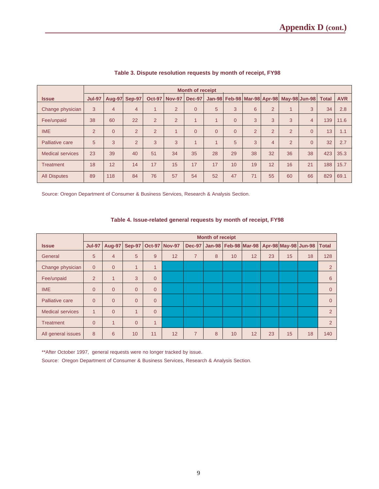|                         |                | <b>Month of receipt</b> |                |                |                |                |          |                |                |                |                                    |                |              |            |
|-------------------------|----------------|-------------------------|----------------|----------------|----------------|----------------|----------|----------------|----------------|----------------|------------------------------------|----------------|--------------|------------|
| <b>Issue</b>            | <b>Jul-97</b>  | <b>Aug-97</b>           | Sep-97         | <b>Oct-97</b>  | <b>Nov-97</b>  | <b>Dec-97</b>  | $Jan-98$ |                |                |                | Feb-98 Mar-98 Apr-98 May-98 Jun-98 |                | <b>Total</b> | <b>AVR</b> |
| Change physician        | 3              | 4                       | $\overline{4}$ |                | $\overline{2}$ | $\overline{0}$ | 5        | 3              | 6              | $\overline{2}$ | 1                                  | 3              | 34           | 2.8        |
| Fee/unpaid              | 38             | 60                      | 22             | $\overline{2}$ | $\overline{2}$ | $\overline{1}$ | 1        | $\Omega$       | 3              | 3              | 3                                  | $\overline{4}$ | 139          | 11.6       |
| <b>IME</b>              | $\overline{2}$ | $\Omega$                | $\overline{2}$ | $\overline{2}$ | $\overline{A}$ | $\Omega$       | $\Omega$ | $\overline{0}$ | $\overline{2}$ | $\overline{2}$ | $\overline{2}$                     | $\overline{0}$ | 13           | 1.1        |
| Palliative care         | 5              | 3                       | $\overline{2}$ | 3              | 3              | $\overline{A}$ |          | 5              | 3              | $\overline{4}$ | $\overline{2}$                     | $\Omega$       | 32           | 2.7        |
| <b>Medical services</b> | 23             | 39                      | 40             | 51             | 34             | 35             | 28       | 29             | 38             | 32             | 36                                 | 38             | 423          | 35.3       |
| Treatment               | 18             | 12                      | 14             | 17             | 15             | 17             | 17       | 10             | 19             | 12             | 16                                 | 21             | 188          | 15.7       |
| <b>All Disputes</b>     | 89             | 118                     | 84             | 76             | 57             | 54             | 52       | 47             | 71             | 55             | 60                                 | 66             | 829          | 69.1       |

#### **Table 3. Dispute resolution requests by month of receipt, FY98**

Source: Oregon Department of Consumer & Business Services, Research & Analysis Section.

#### **Table 4. Issue-related general requests by month of receipt, FY98**

|                         |                |                |               |                |                      |                | <b>Month of receipt</b> |    |    |    |                                                     |    |                |
|-------------------------|----------------|----------------|---------------|----------------|----------------------|----------------|-------------------------|----|----|----|-----------------------------------------------------|----|----------------|
| <b>Issue</b>            | <b>Jul-97</b>  | Aug-97         | <b>Sep-97</b> |                | <b>Oct-97 Nov-97</b> | <b>Dec-97</b>  |                         |    |    |    | Jan-98   Feb-98   Mar-98   Apr-98   May-98   Jun-98 |    | <b>Total</b>   |
| General                 | 5              | 4              | 5             | 9              | 12                   | $\overline{7}$ | 8                       | 10 | 12 | 23 | 15                                                  | 18 | 128            |
| Change physician        | $\overline{0}$ | $\Omega$       | $\mathbf{1}$  | $\mathbf{1}$   |                      |                |                         |    |    |    |                                                     |    | 2              |
| Fee/unpaid              | $\overline{2}$ | $\overline{1}$ | 3             | $\Omega$       |                      |                |                         |    |    |    |                                                     |    | 6              |
| <b>IME</b>              | $\overline{0}$ | $\Omega$       | $\Omega$      | $\Omega$       |                      |                |                         |    |    |    |                                                     |    | $\overline{0}$ |
| Palliative care         | $\overline{0}$ | $\Omega$       | $\Omega$      | $\Omega$       |                      |                |                         |    |    |    |                                                     |    | $\Omega$       |
| <b>Medical services</b> | $\mathbf{1}$   | $\Omega$       | 4             | $\Omega$       |                      |                |                         |    |    |    |                                                     |    | 2              |
| <b>Treatment</b>        | $\overline{0}$ | $\overline{1}$ | $\Omega$      | $\overline{1}$ |                      |                |                         |    |    |    |                                                     |    | 2              |
| All general issues      | 8              | 6              | 10            | 11             | 12                   | $\overline{7}$ | 8                       | 10 | 12 | 23 | 15                                                  | 18 | 140            |

\*\*After October 1997, general requests were no longer tracked by issue.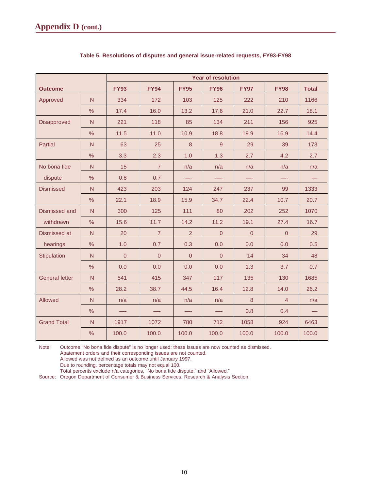|                       |               |             |                |                | <b>Year of resolution</b> |                  |                |              |
|-----------------------|---------------|-------------|----------------|----------------|---------------------------|------------------|----------------|--------------|
| <b>Outcome</b>        |               | <b>FY93</b> | <b>FY94</b>    | <b>FY95</b>    | <b>FY96</b>               | <b>FY97</b>      | <b>FY98</b>    | <b>Total</b> |
| Approved              | N             | 334         | 172            | 103            | 125                       | 222              | 210            | 1166         |
|                       | $\%$          | 17.4        | 16.0           | 13.2           | 17.6                      | 21.0             | 22.7           | 18.1         |
| Disapproved           | $\mathsf{N}$  | 221         | 118            | 85             | 134                       | 211              | 156            | 925          |
|                       | %             | 11.5        | 11.0           | 10.9           | 18.8                      | 19.9             | 16.9           | 14.4         |
| <b>Partial</b>        | N             | 63          | 25             | 8              | 9                         | 29               | 39             | 173          |
|                       | %             | 3.3         | 2.3            | 1.0            | 1.3                       | 2.7              | 4.2            | 2.7          |
| No bona fide          | N             | 15          | $\overline{7}$ | n/a            | n/a                       | n/a              | n/a            | n/a          |
| dispute               | $\frac{0}{0}$ | 0.8         | 0.7            |                | —.                        | —-               |                |              |
| <b>Dismissed</b>      | $\mathsf{N}$  | 423         | 203            | 124            | 247                       | 237              | 99             | 1333         |
|                       | $\%$          | 22.1        | 18.9           | 15.9           | 34.7                      | 22.4             | 10.7           | 20.7         |
| Dismissed and         | $\mathsf{N}$  | 300         | 125            | 111            | 80                        | 202              | 252            | 1070         |
| withdrawn             | $\%$          | 15.6        | 11.7           | 14.2           | 11.2                      | 19.1             | 27.4           | 16.7         |
| Dismissed at          | N             | 20          | $\overline{7}$ | 2              | $\overline{0}$            | $\overline{0}$   | $\overline{0}$ | 29           |
| hearings              | %             | 1.0         | 0.7            | 0.3            | 0.0                       | 0.0              | 0.0            | 0.5          |
| Stipulation           | N             | $\Omega$    | $\overline{0}$ | $\overline{0}$ | $\overline{0}$            | 14               | 34             | 48           |
|                       | %             | 0.0         | 0.0            | 0.0            | 0.0                       | 1.3              | 3.7            | 0.7          |
| <b>General letter</b> | $\mathsf{N}$  | 541         | 415            | 347            | 117                       | 135              | 130            | 1685         |
|                       | $\%$          | 28.2        | 38.7           | 44.5           | 16.4                      | 12.8             | 14.0           | 26.2         |
| Allowed               | $\mathsf{N}$  | n/a         | n/a            | n/a            | n/a                       | $\boldsymbol{8}$ | $\overline{4}$ | n/a          |
|                       | %             |             |                |                | —-                        | 0.8              | 0.4            |              |
| <b>Grand Total</b>    | N             | 1917        | 1072           | 780            | 712                       | 1058             | 924            | 6463         |
|                       | $\%$          | 100.0       | 100.0          | 100.0          | 100.0                     | 100.0            | 100.0          | 100.0        |

#### **Table 5. Resolutions of disputes and general issue-related requests, FY93-FY98**

Note: Outcome "No bona fide dispute" is no longer used; these issues are now counted as dismissed.

Abatement orders and their corresponding issues are not counted.

Allowed was not defined as an outcome until January 1997.

Due to rounding, percentage totals may not equal 100.

Total percents exclude n/a categories, "No bona fide dispute," and "Allowed."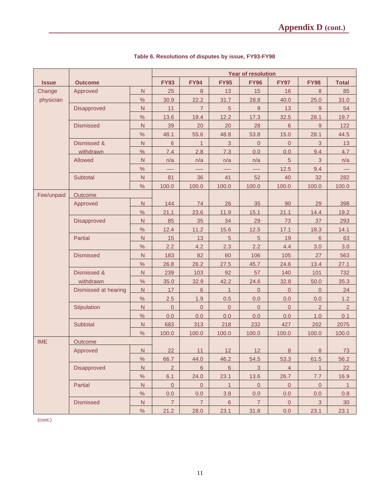|              |                      |                |                |                |                 | <b>Year of resolution</b> |                |                |                |
|--------------|----------------------|----------------|----------------|----------------|-----------------|---------------------------|----------------|----------------|----------------|
| <b>Issue</b> | <b>Outcome</b>       |                | <b>FY93</b>    | <b>FY94</b>    | <b>FY95</b>     | <b>FY96</b>               | <b>FY97</b>    | <b>FY98</b>    | <b>Total</b>   |
| Change       | Approved             | $\mathsf{N}$   | 25             | 8              | 13              | 15                        | 16             | 8              | 85             |
| physician    |                      | $\frac{1}{2}$  | 30.9           | 22.2           | 31.7            | 28.8                      | 40.0           | 25.0           | 31.0           |
|              | Disapproved          | $\mathsf{N}$   | 11             | $\overline{7}$ | $\overline{5}$  | 9                         | 13             | 9              | 54             |
|              |                      | $\%$           | 13.6           | 19.4           | 12.2            | 17.3                      | 32.5           | 28.1           | 19.7           |
|              | <b>Dismissed</b>     | N              | 39             | 20             | 20              | 28                        | 6              | 9              | 122            |
|              |                      | $\%$           | 48.1           | 55.6           | 48.8            | 53.8                      | 15.0           | 28.1           | 44.5           |
|              | Dismissed &          | $\overline{N}$ | $6\phantom{a}$ | $\mathbf{1}$   | $\mathbf{3}$    | $\overline{0}$            | $\overline{0}$ | 3              | 13             |
|              | withdrawn            | $\frac{0}{0}$  | 7.4            | 2.8            | 7.3             | 0.0                       | 0.0            | 9.4            | 4.7            |
|              | Allowed              | $\mathsf{N}$   | n/a            | n/a            | n/a             | n/a                       | 5              | 3              | n/a            |
|              |                      | $\%$           |                |                |                 |                           | 12.5           | 9.4            |                |
|              | Subtotal             | N              | 81             | 36             | 41              | 52                        | 40             | 32             | 282            |
|              |                      | $\%$           | 100.0          | 100.0          | 100.0           | 100.0                     | 100.0          | 100.0          | 100.0          |
| Fee/unpaid   | Outcome              |                |                |                |                 |                           |                |                |                |
|              | Approved             | N.             | 144            | 74             | 26              | 35                        | 90             | 29             | 398            |
|              |                      | $\frac{0}{0}$  | 21.1           | 23.6           | 11.9            | 15.1                      | 21.1           | 14.4           | 19.2           |
|              | <b>Disapproved</b>   | ${\sf N}$      | 85             | 35             | 34              | 29                        | 73             | 37             | 293            |
|              |                      | $\%$           | 12.4           | 11.2           | 15.6            | $12.5$                    | 17.1           | 18.3           | 14.1           |
|              | <b>Partial</b>       | $\mathsf{N}$   | 15             | 13             | $\sqrt{5}$      | $\sqrt{5}$                | 19             | $6\phantom{1}$ | 63             |
|              |                      | $\%$           | 2.2            | 4.2            | 2.3             | 2.2                       | 4.4            | 3.0            | 3.0            |
|              | <b>Dismissed</b>     | N              | 183            | 82             | 60              | 106                       | 105            | 27             | 563            |
|              |                      | %              | 26.8           | 26.2           | 27.5            | 45.7                      | 24.6           | 13.4           | 27.1           |
|              | Dismissed &          | $\overline{N}$ | 239            | 103            | 92              | 57                        | 140            | 101            | 732            |
|              | withdrawn            | $\%$           | 35.0           | 32.9           | 42.2            | 24.6                      | 32.8           | 50.0           | 35.3           |
|              | Dismissed at hearing | $\mathsf{N}$   | 17             | 6              | 1               | $\Omega$                  | $\mathbf{0}$   | $\mathbf{0}$   | 24             |
|              |                      | $\%$           | 2.5            | 1.9            | 0.5             | 0.0                       | 0.0            | 0.0            | 1.2            |
|              | Stipulation          | N              | $\mathsf 0$    | $\overline{0}$ | $\mathbf 0$     | $\mathbf 0$               | $\mathsf 0$    | $\overline{2}$ | $\overline{2}$ |
|              |                      | %              | 0.0            | 0.0            | 0.0             | 0.0                       | 0.0            | 1.0            | 0.1            |
|              | Subtotal             | $\overline{N}$ | 683            | 313            | 218             | 232                       | 427            | 202            | 2075           |
|              |                      | $\%$           | 100.0          | 100.0          | 100.0           | 100.0                     | 100.0          | 100.0          | 100.0          |
| <b>IME</b>   | Outcome              |                |                |                |                 |                           |                |                |                |
|              | Approved             | N              | 22             | 11             | 12              | 12                        | $8\phantom{1}$ | 8              | 73             |
|              |                      | $\%$           | 66.7           | 44.0           | 46.2            | 54.5                      | 53.3           | 61.5           | 56.2           |
|              | Disapproved          | N.             | $\overline{2}$ | $6^{\circ}$    | $6\overline{6}$ | $\overline{3}$            | $\overline{4}$ | $\mathbf{1}$   | 22             |
|              |                      | $\%$           | 6.1            | 24.0           | 23.1            | 13.6                      | 26.7           | 7.7            | 16.9           |
|              | Partial              | N.             | $\overline{0}$ | $\overline{0}$ | $\mathbf{1}$    | $\pmb{0}$                 | $\overline{0}$ | $\pmb{0}$      | $\mathbf{1}$   |
|              |                      | $\%$           | 0.0            | 0.0            | 3.8             | 0.0                       | 0.0            | 0.0            | 0.8            |
|              | <b>Dismissed</b>     | ${\sf N}$      | $\overline{7}$ | $\overline{7}$ | $6\phantom{.}$  | $\overline{7}$            | $\mathbf 0$    | $\mathbf{3}$   | 30             |
|              |                      | $\%$           | 21.2           | 28.0           | 23.1            | 31.8                      | 0.0            | 23.1           | 23.1           |

## **Table 6. Resolutions of disputes by issue, FY93-FY98**

(cont.)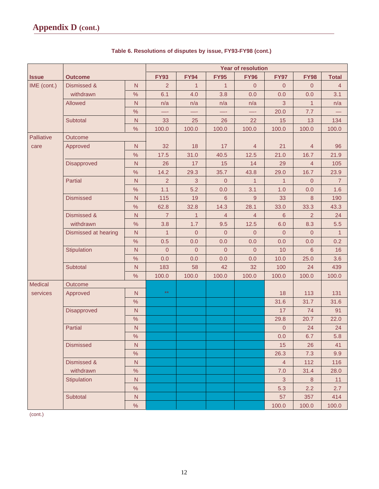|                |                      |                |                |                  | <b>Year of resolution</b> |                |                |                  |                |
|----------------|----------------------|----------------|----------------|------------------|---------------------------|----------------|----------------|------------------|----------------|
| <b>Issue</b>   | <b>Outcome</b>       |                | <b>FY93</b>    | <b>FY94</b>      | <b>FY95</b>               | <b>FY96</b>    | <b>FY97</b>    | <b>FY98</b>      | <b>Total</b>   |
| IME (cont.)    | Dismissed &          | N              | $\overline{2}$ | $\mathbf{1}$     | $\mathbf{1}$              | $\overline{0}$ | $\overline{0}$ | $\boldsymbol{0}$ | $\overline{4}$ |
|                | withdrawn            | $\%$           | 6.1            | 4.0              | 3.8                       | 0.0            | 0.0            | 0.0              | 3.1            |
|                | Allowed              | $\overline{N}$ | n/a            | n/a              | n/a                       | n/a            | $\mathbf{3}$   | $\overline{1}$   | n/a            |
|                |                      | %              | —-             | —-               | —-                        | —-             | 20.0           | 7.7              |                |
|                | Subtotal             | $\overline{N}$ | 33             | 25               | 26                        | 22             | 15             | 13               | 134            |
|                |                      | $\%$           | 100.0          | 100.0            | 100.0                     | 100.0          | 100.0          | 100.0            | 100.0          |
| Palliative     | Outcome              |                |                |                  |                           |                |                |                  |                |
| care           | Approved             | $\overline{N}$ | 32             | 18               | 17                        | $\overline{4}$ | 21             | $\overline{4}$   | 96             |
|                |                      | $\frac{1}{2}$  | 17.5           | 31.0             | 40.5                      | $12.5$         | 21.0           | 16.7             | 21.9           |
|                | Disapproved          | $\overline{N}$ | 26             | 17               | 15                        | 14             | 29             | $\overline{4}$   | 105            |
|                |                      | $\%$           | 14.2           | 29.3             | 35.7                      | 43.8           | 29.0           | 16.7             | 23.9           |
|                | Partial              | N              | 2              | 3                | $\overline{0}$            | $\mathbf{1}$   | $\mathbf{1}$   | $\mathbf 0$      | $\overline{7}$ |
|                |                      | %              | 1.1            | 5.2              | 0.0                       | 3.1            | 1.0            | 0.0              | 1.6            |
|                | <b>Dismissed</b>     | N              | 115            | 19               | $\,$ 6 $\,$               | $9\,$          | 33             | $\bf 8$          | 190            |
|                |                      | $\frac{1}{2}$  | 62.8           | 32.8             | 14.3                      | 28.1           | 33.0           | 33.3             | 43.3           |
|                | Dismissed &          | ${\sf N}$      | $\overline{7}$ | $\mathbf{1}$     | $\overline{4}$            | $\overline{4}$ | 6              | $\overline{2}$   | 24             |
|                | withdrawn            | $\%$           | 3.8            | 1.7              | 9.5                       | 12.5           | 6.0            | 8.3              | 5.5            |
|                | Dismissed at hearing | $\overline{N}$ | $\mathbf{1}$   | $\boldsymbol{0}$ | $\boldsymbol{0}$          | $\mathbf 0$    | $\overline{0}$ | $\mathbf 0$      | $\mathbf{1}$   |
|                |                      | %              | 0.5            | 0.0              | 0.0                       | 0.0            | 0.0            | 0.0              | 0.2            |
|                | Stipulation          | $\overline{N}$ | $\overline{0}$ | $\overline{0}$   | $\overline{0}$            | $\overline{0}$ | 10             | $6\phantom{1}$   | 16             |
|                |                      | $\%$           | 0.0            | 0.0              | 0.0                       | 0.0            | 10.0           | 25.0             | 3.6            |
|                | Subtotal             | ${\sf N}$      | 183            | 58               | 42                        | 32             | 100            | 24               | 439            |
|                |                      | $\%$           | 100.0          | 100.0            | 100.0                     | 100.0          | 100.0          | 100.0            | 100.0          |
| <b>Medical</b> | Outcome              |                |                |                  |                           |                |                |                  |                |
| services       | Approved             | N              | $\star\star$   |                  |                           |                | 18             | 113              | 131            |
|                |                      | $\%$           |                |                  |                           |                | 31.6           | 31.7             | 31.6           |
|                | Disapproved          | ${\sf N}$      |                |                  |                           |                | 17             | 74               | 91             |
|                |                      | $\%$           |                |                  |                           |                | 29.8           | 20.7             | 22.0           |
|                | Partial              | $\overline{N}$ |                |                  |                           |                | $\overline{0}$ | 24               | 24             |
|                |                      | %              |                |                  |                           |                | 0.0            | 6.7              | 5.8            |
|                | <b>Dismissed</b>     | N              |                |                  |                           |                | 15             | 26               | 41             |
|                |                      | $\%$           |                |                  |                           |                | 26.3           | 7.3              | 9.9            |
|                | Dismissed &          | ${\sf N}$      |                |                  |                           |                | $\overline{4}$ | 112              | 116            |
|                | withdrawn            | $\%$           |                |                  |                           |                | 7.0            | 31.4             | 28.0           |
|                | Stipulation          | $\overline{N}$ |                |                  |                           |                | $\mathbf{3}$   | $\, 8$           | 11             |
|                |                      | $\%$           |                |                  |                           |                | 5.3            | 2.2              | 2.7            |
|                | Subtotal             | ${\sf N}$      |                |                  |                           |                | 57             | 357              | 414            |
|                |                      | $\%$           |                |                  |                           |                | 100.0          | 100.0            | 100.0          |

### **Table 6. Resolutions of disputes by issue, FY93-FY98 (cont.)**

(cont.)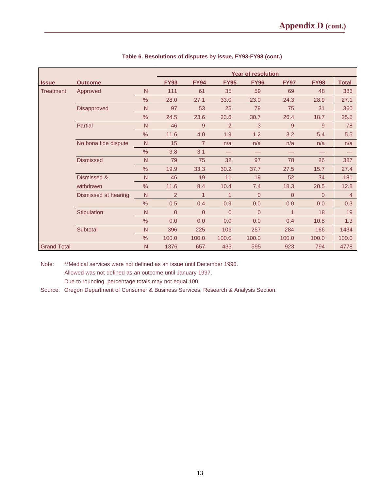|                    |                      |               | <b>Year of resolution</b> |                |                |                |                |             |                |  |  |  |  |  |
|--------------------|----------------------|---------------|---------------------------|----------------|----------------|----------------|----------------|-------------|----------------|--|--|--|--|--|
| <b>Issue</b>       | <b>Outcome</b>       |               | <b>FY93</b>               | <b>FY94</b>    | <b>FY95</b>    | <b>FY96</b>    | <b>FY97</b>    | <b>FY98</b> | <b>Total</b>   |  |  |  |  |  |
| Treatment          | Approved             | N             | 111                       | 61             | 35             | 59             | 69             | 48          | 383            |  |  |  |  |  |
|                    |                      | $\%$          | 28.0                      | 27.1           | 33.0           | 23.0           | 24.3           | 28.9        | 27.1           |  |  |  |  |  |
|                    | Disapproved          | N             | 97                        | 53             | 25             | 79             | 75             | 31          | 360            |  |  |  |  |  |
|                    |                      | $\%$          | 24.5                      | 23.6           | 23.6           | 30.7           | 26.4           | 18.7        | 25.5           |  |  |  |  |  |
|                    | Partial              | N             | 46                        | 9              | $\overline{2}$ | 3              | 9              | 9           | 78             |  |  |  |  |  |
|                    |                      | %             | 11.6                      | 4.0            | 1.9            | 1.2            | 3.2            | 5.4         | 5.5            |  |  |  |  |  |
|                    | No bona fide dispute | N             | 15                        | $\overline{7}$ | n/a            | n/a            | n/a            | n/a         | n/a            |  |  |  |  |  |
|                    |                      | $\%$          | 3.8                       | 3.1            |                | —              | —              |             |                |  |  |  |  |  |
|                    | <b>Dismissed</b>     | N             | 79                        | 75             | 32             | 97             | 78             | 26          | 387            |  |  |  |  |  |
|                    |                      | $\%$          | 19.9                      | 33.3           | 30.2           | 37.7           | 27.5           | 15.7        | 27.4           |  |  |  |  |  |
|                    | Dismissed &          | N             | 46                        | 19             | 11             | 19             | 52             | 34          | 181            |  |  |  |  |  |
|                    | withdrawn            | $\%$          | 11.6                      | 8.4            | 10.4           | 7.4            | 18.3           | 20.5        | 12.8           |  |  |  |  |  |
|                    | Dismissed at hearing | N             | $\overline{2}$            | $\mathbf 1$    | 1              | $\overline{0}$ | $\overline{0}$ | $\Omega$    | $\overline{4}$ |  |  |  |  |  |
|                    |                      | $\frac{9}{6}$ | 0.5                       | 0.4            | 0.9            | 0.0            | 0.0            | 0.0         | 0.3            |  |  |  |  |  |
|                    | Stipulation          | N             | $\overline{0}$            | $\Omega$       | $\Omega$       | $\Omega$       | $\overline{1}$ | 18          | 19             |  |  |  |  |  |
|                    |                      | $\%$          | 0.0                       | 0.0            | 0.0            | 0.0            | 0.4            | 10.8        | 1.3            |  |  |  |  |  |
|                    | Subtotal             | N             | 396                       | 225            | 106            | 257            | 284            | 166         | 1434           |  |  |  |  |  |
|                    |                      | $\frac{9}{6}$ | 100.0                     | 100.0          | 100.0          | 100.0          | 100.0          | 100.0       | 100.0          |  |  |  |  |  |
| <b>Grand Total</b> |                      | N             | 1376                      | 657            | 433            | 595            | 923            | 794         | 4778           |  |  |  |  |  |

#### **Table 6. Resolutions of disputes by issue, FY93-FY98 (cont.)**

Note: \*\*Medical services were not defined as an issue until December 1996. Allowed was not defined as an outcome until January 1997. Due to rounding, percentage totals may not equal 100.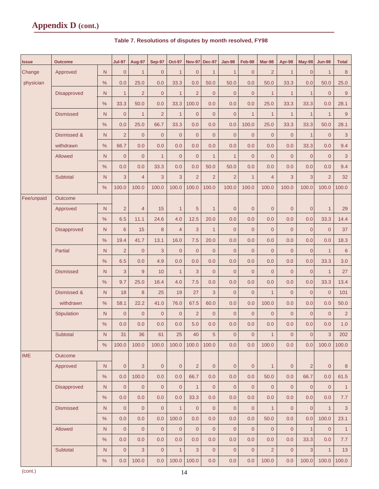## **Appendix D (cont.)**

| <b>Issue</b> | <b>Outcome</b>   |               | <b>Jul-97</b>       | Aug-97         | <b>Sep-97</b>       | <b>Oct-97</b>  | <b>Nov-97</b>  | <b>Dec-97</b>  | <b>Jan-98</b>  | Feb-98         | Mar-98         | Apr-98         | May-98         | <b>Jun-98</b>  | <b>Total</b>    |
|--------------|------------------|---------------|---------------------|----------------|---------------------|----------------|----------------|----------------|----------------|----------------|----------------|----------------|----------------|----------------|-----------------|
| Change       | Approved         | N             | $\overline{0}$      | $\mathbf{1}$   | $\mathbf{0}$        | $\mathbf{1}$   | $\overline{0}$ | $\mathbf{1}$   | $\mathbf{1}$   | $\mathbf{0}$   | $\overline{2}$ | $\mathbf{1}$   | $\overline{0}$ | $\mathbf{1}$   | 8               |
| physician    |                  | $\frac{0}{0}$ | 0.0                 | 25.0           | 0.0                 | 33.3           | 0.0            | 50.0           | 50.0           | 0.0            | 50.0           | 33.3           | 0.0            | 50.0           | 25.0            |
|              | Disapproved      | N             | $\mathbf{1}$        | 2              | $\mathbf{0}$        | $\mathbf{1}$   | $\overline{2}$ | $\mathbf{0}$   | $\mathbf{0}$   | $\mathbf{0}$   | $\mathbf{1}$   | $\mathbf{1}$   | $\mathbf{1}$   | $\overline{0}$ | $9\,$           |
|              |                  | %             | 33.3                | 50.0           | 0.0                 | 33.3           | 100.0          | 0.0            | 0.0            | 0.0            | 25.0           | 33.3           | 33.3           | 0.0            | 28.1            |
|              | <b>Dismissed</b> | N             | $\overline{0}$      | $\mathbf{1}$   | $\overline{2}$      | $\mathbf{1}$   | $\mathbf{0}$   | $\overline{0}$ | $\mathbf{0}$   | $\mathbf{1}$   | $\mathbf{1}$   | $\mathbf{1}$   | $\mathbf{1}$   | $\mathbf{1}$   | $9\,$           |
|              |                  | %             | 0.0                 | 25.0           | 66.7                | 33.3           | 0.0            | 0.0            | 0.0            | 100.0          | 25.0           | 33.3           | 33.3           | 50.0           | 28.1            |
|              | Dismissed &      | N.            | $\overline{2}$      | $\overline{0}$ | $\overline{0}$      | $\overline{0}$ | $\overline{0}$ | $\overline{0}$ | $\overline{0}$ | $\overline{0}$ | $\overline{0}$ | $\overline{0}$ | $\overline{1}$ | $\overline{0}$ | 3               |
|              | withdrawn        | %             | 66.7                | 0.0            | 0.0                 | 0.0            | 0.0            | 0.0            | 0.0            | 0.0            | 0.0            | 0.0            | 33.3           | 0.0            | 9.4             |
|              | Allowed          | N             | $\overline{0}$      | $\overline{0}$ | $\mathbf{1}$        | $\overline{0}$ | $\overline{0}$ | $\mathbf{1}$   | $\mathbf{1}$   | $\overline{0}$ | $\overline{0}$ | $\overline{0}$ | $\overline{0}$ | $\overline{0}$ | 3               |
|              |                  | %             | 0.0                 | 0.0            | 33.3                | 0.0            | 0.0            | 50.0           | 50.0           | 0.0            | 0.0            | 0.0            | 0.0            | 0.0            | 9.4             |
|              | Subtotal         | N             | 3                   | $\overline{4}$ | 3                   | 3              | $\overline{2}$ | $\overline{2}$ | $\overline{2}$ | $\mathbf{1}$   | $\overline{4}$ | 3              | 3              | $\overline{2}$ | 32              |
|              |                  | %             | 100.0               | 100.0          | 100.0               | 100.0          | 100.0          | 100.0          | 100.0          | 100.0          | 100.0          | 100.0          | 100.0          | 100.0          | 100.0           |
| Fee/unpaid   | <b>Outcome</b>   |               |                     |                |                     |                |                |                |                |                |                |                |                |                |                 |
|              | Approved         | $\mathsf{N}$  | $\overline{2}$      | $\overline{4}$ | 15                  | $\mathbf{1}$   | 5              | $\mathbf{1}$   | $\mathbf{0}$   | $\mathbf{0}$   | $\overline{0}$ | $\mathbf{0}$   | $\overline{0}$ | $\mathbf{1}$   | 29              |
|              |                  | %             | 6.5                 | 11.1           | 24.6                | 4.0            | 12.5           | 20.0           | 0.0            | 0.0            | 0.0            | 0.0            | 0.0            | 33.3           | 14.4            |
|              | Disapproved      | N             | $6\phantom{1}$      | 15             | 8                   | $\overline{4}$ | 3              | $\mathbf{1}$   | $\overline{0}$ | $\overline{0}$ | $\overline{0}$ | $\overline{0}$ | $\overline{0}$ | $\overline{0}$ | 37              |
|              |                  | %             | 19.4                | 41.7           | 13.1                | 16.0           | 7.5            | 20.0           | 0.0            | 0.0            | 0.0            | 0.0            | 0.0            | 0.0            | 18.3            |
|              | Partial          | N             | $\overline{2}$      | $\overline{0}$ | 3                   | $\overline{0}$ | $\overline{0}$ | $\overline{0}$ | $\mathbf{0}$   | $\mathbf{0}$   | $\overline{0}$ | $\mathbf{0}$   | $\overline{0}$ | $\mathbf{1}$   | $\,$ 6 $\,$     |
|              |                  | $\%$          | 6.5                 | 0.0            | 4.9                 | 0.0            | 0.0            | 0.0            | 0.0            | 0.0            | 0.0            | 0.0            | 0.0            | 33.3           | 3.0             |
|              | <b>Dismissed</b> | N             | 3                   | 9              | 10                  | $\mathbf{1}$   | 3              | $\overline{0}$ | $\overline{0}$ | $\mathbf{0}$   | $\overline{0}$ | $\overline{0}$ | $\overline{0}$ | $\mathbf{1}$   | 27              |
|              |                  | %             | 9.7                 | 25.0           | 16.4                | 4.0            | 7.5            | 0.0            | 0.0            | 0.0            | 0.0            | 0.0            | 0.0            | 33.3           | 13.4            |
|              | Dismissed &      | N             | 18                  | 8              | 25                  | 19             | 27             | 3              | $\overline{0}$ | $\mathbf{0}$   | $\mathbf{1}$   | $\overline{0}$ | $\overline{0}$ | $\mathbf{0}$   | 101             |
|              | withdrawn        | %             | 58.1                | 22.2           | 41.0                | 76.0           | 67.5           | 60.0           | 0.0            | 0.0            | 100.0          | 0.0            | 0.0            | 0.0            | 50.0            |
|              | Stipulation      | N             | $\overline{0}$      | $\overline{0}$ | $\overline{0}$      | $\overline{0}$ | $\overline{2}$ | $\overline{0}$ | $\overline{0}$ | $\overline{0}$ | $\overline{0}$ | $\overline{0}$ | $\overline{0}$ | $\overline{0}$ | $\overline{2}$  |
|              |                  | %             | 0.0                 | 0.0            | 0.0                 | 0.0            | 5.0            | 0.0            | 0.0            | 0.0            | 0.0            | 0.0            | 0.0            | 0.0            | 1.0             |
|              | Subtotal         | N             | 31                  | 36             | 61                  | 25             | 40             | 5              | $\overline{0}$ | $\mathbf{0}$   | $\mathbf{1}$   | $\overline{0}$ | $\mathbf 0$    | 3              | 202             |
|              |                  | %             | 100.0               | 100.0          | 100.0               | 100.0          | 100.0          | 100.0          | 0.0            | 0.0            | 100.0          | 0.0            | 0.0            | 100.0          | 100.0           |
| <b>IME</b>   | Outcome          |               |                     |                |                     |                |                |                |                |                |                |                |                |                |                 |
|              | Approved         | N.            | $\overline{0}$      | 3              | $\mathbf{0}$        | $\overline{0}$ | $\overline{2}$ | $\overline{0}$ | $\mathbf{0}$   | $\pmb{0}$      | $\mathbf{1}$   | $\overline{0}$ | $\overline{2}$ | $\overline{0}$ | 8               |
|              |                  | %             | 0.0                 | 100.0          | 0.0                 | 0.0            | 66.7           | 0.0            | 0.0            | 0.0            | 50.0           | 0.0            | 66.7           | 0.0            | 61.5            |
|              | Disapproved      | $\mathsf{N}$  | $\overline{0}$      | $\overline{0}$ | $\overline{0}$      | $\overline{0}$ | $\mathbf{1}$   | $\overline{0}$ | $\overline{0}$ | $\overline{0}$ | $\overline{0}$ | $\overline{0}$ | $\overline{0}$ | $\overline{0}$ | $\mathbf{1}$    |
|              |                  | %             | 0.0                 | 0.0            | 0.0                 | 0.0            | 33.3           | 0.0            | 0.0            | 0.0            | 0.0            | 0.0            | 0.0            | 0.0            | 7.7             |
|              | <b>Dismissed</b> | $\mathsf{N}$  | $\mathbf{0}$        | $\overline{0}$ | $\overline{0}$      | $\mathbf{1}$   | $\overline{0}$ | $\mathbf{0}$   | $\overline{0}$ | $\overline{0}$ | $\overline{1}$ | $\overline{0}$ | $\overline{0}$ | $\mathbf{1}$   | $\mathbf{3}$    |
|              |                  | $\%$          | 0.0                 | 0.0            | 0.0                 | 100.0          | 0.0            | 0.0            | 0.0            | 0.0            | 50.0           | 0.0            | 0.0            | 100.0          | 23.1            |
|              | Allowed          | $\mathsf{N}$  | $\mathbf{0}$        | $\mathbf{0}$   | $\overline{0}$      | $\mathbf{0}$   | $\mathbf{0}$   | $\overline{0}$ | $\mathbf{0}$   | $\mathbf{0}$   | $\overline{0}$ | $\overline{0}$ | $\mathbf{1}$   | $\overline{0}$ | $\mathbf{1}$    |
|              |                  | %             | 0.0                 | 0.0            | 0.0                 | 0.0            | 0.0            | 0.0            | 0.0            | 0.0            | 0.0            | 0.0            | 33.3           | 0.0            | 7.7             |
|              | Subtotal         | $\mathsf{N}$  | $\mathsf{O}\xspace$ | $\mathbf{3}$   | $\mathsf{O}\xspace$ | $\overline{1}$ | 3              | $\overline{0}$ | $\mathbf 0$    | $\overline{0}$ | $\overline{2}$ | $\overline{0}$ | $\overline{3}$ | $\mathbf{1}$   | 13 <sup>°</sup> |
|              |                  | $\%$          | 0.0                 | 100.0          | 0.0                 | 100.0          | 100.0          | 0.0            | 0.0            | 0.0            | 100.0          | 0.0            | 100.0          | 100.0          | 100.0           |

### **Table 7. Resolutions of disputes by month resolved, FY98**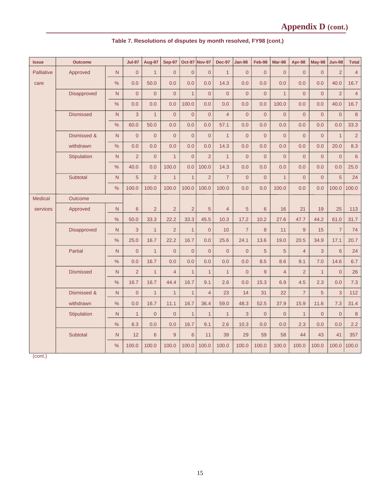| <b>Issue</b>   | <b>Outcome</b>   |               | <b>Jul-97</b>       | Aug-97         | <b>Sep-97</b>  | <b>Oct-97</b>  | <b>Nov-97</b>       | <b>Dec-97</b>  | Jan-98         | Feb-98         | <b>Mar-98</b>  | Apr-98         | <b>May-98</b>  | <b>Jun-98</b>       | <b>Total</b>   |
|----------------|------------------|---------------|---------------------|----------------|----------------|----------------|---------------------|----------------|----------------|----------------|----------------|----------------|----------------|---------------------|----------------|
| Palliative     | Approved         | N             | $\overline{0}$      | $\mathbf{1}$   | $\overline{0}$ | $\overline{0}$ | $\overline{0}$      | $\mathbf{1}$   | $\overline{0}$ | $\overline{0}$ | $\overline{0}$ | $\overline{0}$ | $\mathbf{0}$   | $\overline{2}$      | $\overline{4}$ |
| care           |                  | $\%$          | 0.0                 | 50.0           | 0.0            | 0.0            | 0.0                 | 14.3           | 0.0            | 0.0            | 0.0            | 0.0            | 0.0            | 40.0                | 16.7           |
|                | Disapproved      | $\mathsf{N}$  | $\overline{0}$      | $\overline{0}$ | $\overline{0}$ | $\overline{1}$ | $\overline{0}$      | $\overline{0}$ | $\overline{0}$ | $\overline{0}$ | $\mathbf{1}$   | $\overline{0}$ | $\overline{0}$ | $\overline{2}$      | $\overline{4}$ |
|                |                  | $\%$          | 0.0                 | 0.0            | 0.0            | 100.0          | 0.0                 | 0.0            | 0.0            | 0.0            | 100.0          | 0.0            | 0.0            | 40.0                | 16.7           |
|                | <b>Dismissed</b> | N             | 3                   | $\overline{1}$ | $\overline{0}$ | $\overline{0}$ | $\overline{0}$      | $\overline{4}$ | $\overline{0}$ | $\overline{0}$ | $\overline{0}$ | $\overline{0}$ | $\overline{0}$ | $\overline{0}$      | 8              |
|                |                  | $\frac{0}{0}$ | 60.0                | 50.0           | 0.0            | 0.0            | 0.0                 | 57.1           | 0.0            | 0.0            | 0.0            | 0.0            | 0.0            | 0.0                 | 33.3           |
|                | Dismissed &      | N             | $\mathsf{O}\xspace$ | $\overline{0}$ | $\overline{0}$ | $\overline{0}$ | $\mathsf{O}\xspace$ | $\overline{1}$ | $\overline{0}$ | $\overline{0}$ | $\overline{0}$ | $\overline{0}$ | $\overline{0}$ | $\overline{1}$      | $\overline{2}$ |
|                | withdrawn        | $\frac{1}{2}$ | 0.0                 | 0.0            | 0.0            | 0.0            | 0.0                 | 14.3           | 0.0            | 0.0            | 0.0            | 0.0            | 0.0            | 20.0                | 8.3            |
|                | Stipulation      | N             | $\overline{2}$      | $\overline{0}$ | $\mathbf{1}$   | $\overline{0}$ | $\overline{2}$      | $\mathbf{1}$   | $\overline{0}$ | $\overline{0}$ | $\overline{0}$ | $\overline{0}$ | $\overline{0}$ | $\overline{0}$      | $6\phantom{1}$ |
|                |                  | $\%$          | 40.0                | 0.0            | 100.0          | 0.0            | 100.0               | 14.3           | 0.0            | 0.0            | 0.0            | 0.0            | 0.0            | 0.0                 | 25.0           |
|                | Subtotal         | N             | 5                   | $\overline{2}$ | $\overline{1}$ | $\overline{1}$ | $\overline{2}$      | $\overline{7}$ | $\overline{0}$ | $\overline{0}$ | $\mathbf{1}$   | $\overline{0}$ | $\overline{0}$ | 5                   | 24             |
|                |                  | $\%$          | 100.0               | 100.0          | 100.0          | 100.0          | 100.0               | 100.0          | 0.0            | 0.0            | 100.0          | 0.0            | 0.0            | 100.0               | 100.0          |
| <b>Medical</b> | Outcome          |               |                     |                |                |                |                     |                |                |                |                |                |                |                     |                |
| services       | Approved         | N             | $6\phantom{1}$      | $\overline{2}$ | $\overline{2}$ | $\overline{2}$ | 5                   | $\overline{4}$ | 5              | $6\phantom{1}$ | 16             | 21             | 19             | 25                  | 113            |
|                |                  | $\%$          | 50.0                | 33.3           | 22.2           | 33.3           | 45.5                | 10.3           | 17.2           | 10.2           | 27.6           | 47.7           | 44.2           | 61.0                | 31.7           |
|                | Disapproved      | N             | 3                   | $\mathbf{1}$   | $\overline{2}$ | $\mathbf{1}$   | $\overline{0}$      | 10             | $\overline{7}$ | 8              | 11             | $\overline{9}$ | 15             | $\overline{7}$      | 74             |
|                |                  | $\frac{1}{2}$ | 25.0                | 16.7           | 22.2           | 16.7           | 0.0                 | 25.6           | 24.1           | 13.6           | 19.0           | 20.5           | 34.9           | 17.1                | 20.7           |
|                | <b>Partial</b>   | ${\sf N}$     | $\overline{0}$      | $\mathbf{1}$   | $\overline{0}$ | $\overline{0}$ | $\overline{0}$      | $\overline{0}$ | $\overline{0}$ | 5              | 5              | $\overline{4}$ | 3              | $6\overline{6}$     | 24             |
|                |                  | $\frac{0}{0}$ | 0.0                 | 16.7           | 0.0            | 0.0            | 0.0                 | 0.0            | 0.0            | 8.5            | 8.6            | 9.1            | 7.0            | 14.6                | 6.7            |
|                | <b>Dismissed</b> | N             | $\overline{2}$      | $\mathbf{1}$   | $\overline{4}$ | $\mathbf{1}$   | $\mathbf{1}$        | $\mathbf{1}$   | $\overline{0}$ | 9              | $\overline{4}$ | $\overline{2}$ | $\mathbf{1}$   | $\overline{0}$      | 26             |
|                |                  | $\%$          | 16.7                | 16.7           | 44.4           | 16.7           | 9.1                 | 2.6            | 0.0            | 15.3           | 6.9            | 4.5            | 2.3            | 0.0                 | 7.3            |
|                | Dismissed &      | N             | $\overline{0}$      | $\mathbf{1}$   | $\mathbf{1}$   | $\overline{1}$ | $\overline{4}$      | 23             | 14             | 31             | 22             | $\overline{7}$ | 5              | $\overline{3}$      | 112            |
|                | withdrawn        | %             | 0.0                 | 16.7           | 11.1           | 16.7           | 36.4                | 59.0           | 48.3           | 52.5           | 37.9           | 15.9           | 11.6           | 7.3                 | 31.4           |
|                | Stipulation      | N             | $\overline{1}$      | $\overline{0}$ | $\overline{0}$ | $\overline{1}$ | $\overline{1}$      | $\mathbf{1}$   | 3              | $\overline{0}$ | $\overline{0}$ | $\mathbf{1}$   | $\overline{0}$ | $\mathsf{O}\xspace$ | $8\phantom{1}$ |
|                |                  | $\%$          | 8.3                 | 0.0            | 0.0            | 16.7           | 9.1                 | 2.6            | 10.3           | 0.0            | 0.0            | 2.3            | 0.0            | 0.0                 | 2.2            |
|                | Subtotal         | N             | 12                  | $6\phantom{1}$ | $\overline{9}$ | $6\phantom{1}$ | 11                  | 39             | 29             | 59             | 58             | 44             | 43             | 41                  | 357            |
|                |                  | $\%$          | 100.0               | 100.0          | 100.0          | 100.0          | 100.0               | 100.0          | 100.0          | 100.0          | 100.0          | 100.0          | 100.0          | 100.0               | 100.0          |

## **Table 7. Resolutions of disputes by month resolved, FY98 (cont.)**

(cont.)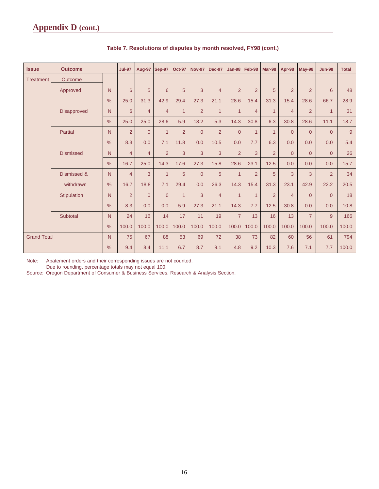| <b>Issue</b>            | <b>Outcome</b>   |                | <b>Jul-97</b>  | <b>Aug-97</b>  | <b>Sep-97</b>  | <b>Oct-97</b>  | <b>Nov-97</b>  | <b>Dec-97</b>  | <b>Jan-98</b>  | Feb-98         | Mar-98         | Apr-98         | <b>May-98</b>  | <b>Jun-98</b>  | <b>Total</b> |
|-------------------------|------------------|----------------|----------------|----------------|----------------|----------------|----------------|----------------|----------------|----------------|----------------|----------------|----------------|----------------|--------------|
| <b>Treatment</b>        | Outcome          |                |                |                |                |                |                |                |                |                |                |                |                |                |              |
|                         | Approved         | N              | 6              | 5              | 6              | 5              | 3              | $\overline{4}$ | $\overline{2}$ | $\overline{2}$ | 5              | $\overline{2}$ | $\overline{2}$ | 6              | 48           |
|                         |                  | $\frac{0}{0}$  | 25.0           | 31.3           | 42.9           | 29.4           | 27.3           | 21.1           | 28.6           | 15.4           | 31.3           | 15.4           | 28.6           | 66.7           | 28.9         |
|                         | Disapproved      | N <sub>1</sub> | 6              | $\overline{4}$ | $\overline{4}$ | $\mathbf{1}$   | $\overline{2}$ | $\mathbf{1}$   | 1              | $\overline{4}$ | $\mathbf{1}$   | $\overline{4}$ | $\overline{2}$ | $\mathbf{1}$   | 31           |
|                         |                  | $\frac{0}{0}$  | 25.0           | 25.0           | 28.6           | 5.9            | 18.2           | 5.3            | 14.3           | 30.8           | 6.3            | 30.8           | 28.6           | 11.1           | 18.7         |
|                         | Partial          | N              | $\overline{2}$ | $\overline{0}$ | $\mathbf{1}$   | 2              | $\overline{0}$ | $\overline{2}$ | $\overline{0}$ | $\mathbf{1}$   | $\mathbf{1}$   | $\overline{0}$ | $\Omega$       | $\overline{0}$ | 9            |
|                         |                  | $\frac{0}{0}$  | 8.3            | 0.0            | 7.1            | 11.8           | 0.0            | 10.5           | 0.0            | 7.7            | 6.3            | 0.0            | 0.0            | 0.0            | 5.4          |
|                         | <b>Dismissed</b> | N <sub>1</sub> | $\overline{4}$ | $\overline{4}$ | 2              | $\overline{3}$ | 3              | 3              | $\overline{2}$ | 3              | $\overline{2}$ | $\overline{0}$ | $\Omega$       | $\Omega$       | 26           |
|                         |                  | $\frac{0}{0}$  | 16.7           | 25.0           | 14.3           | 17.6           | 27.3           | 15.8           | 28.6           | 23.1           | 12.5           | 0.0            | 0.0            | 0.0            | 15.7         |
|                         | Dismissed &      | N              | $\overline{4}$ | 3              | $\overline{1}$ | 5 <sup>5</sup> | $\overline{0}$ | 5              | $\overline{1}$ | $\overline{2}$ | 5              | 3              | 3              | $\overline{2}$ | 34           |
|                         | withdrawn        | $\frac{0}{0}$  | 16.7           | 18.8           | 7.1            | 29.4           | 0.0            | 26.3           | 14.3           | 15.4           | 31.3           | 23.1           | 42.9           | 22.2           | 20.5         |
|                         | Stipulation      | N              | 2              | $\overline{0}$ | $\overline{0}$ | $\mathbf{1}$   | 3              | $\overline{4}$ | $\overline{1}$ | $\overline{1}$ | $\overline{2}$ | $\overline{4}$ | $\Omega$       | $\Omega$       | 18           |
|                         |                  | $\frac{0}{0}$  | 8.3            | 0.0            | 0.0            | 5.9            | 27.3           | 21.1           | 14.3           | 7.7            | 12.5           | 30.8           | 0.0            | 0.0            | 10.8         |
|                         | Subtotal         | N              | 24             | 16             | 14             | 17             | 11             | 19             | $\overline{7}$ | 13             | 16             | 13             | $\overline{7}$ | 9              | 166          |
|                         |                  | $\frac{0}{0}$  | 100.0          | 100.0          | 100.0          | 100.0          | 100.0          | 100.0          | 100.0          | 100.0          | 100.0          | 100.0          | 100.0          | 100.0          | 100.0        |
| <b>Grand Total</b><br>N |                  | 75             | 67             | 88             | 53             | 69             | 72             | 38             | 73             | 82             | 60             | 56             | 61             | 794            |              |
|                         |                  | $\frac{9}{6}$  | 9.4            | 8.4            | 11.1           | 6.7            | 8.7            | 9.1            | 4.8            | 9.2            | 10.3           | 7.6            | 7.1            | 7.7            | 100.0        |

### **Table 7. Resolutions of disputes by month resolved, FY98 (cont.)**

Note: Abatement orders and their corresponding issues are not counted.

Due to rounding, percentage totals may not equal 100.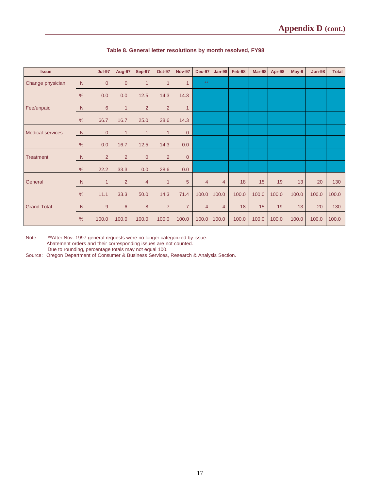| <b>Issue</b>       |               | <b>Jul-97</b>  | <b>Aug-97</b>   | <b>Sep-97</b>  | <b>Oct-97</b>  | <b>Nov-97</b>  | <b>Dec-97</b>  | <b>Jan-98</b>  | Feb-98 | Mar-98 | Apr-98 | May-9 | <b>Jun-98</b> | <b>Total</b> |
|--------------------|---------------|----------------|-----------------|----------------|----------------|----------------|----------------|----------------|--------|--------|--------|-------|---------------|--------------|
| Change physician   | N             | $\overline{0}$ | $\overline{0}$  | $\mathbf{1}$   | $\mathbf{1}$   | $\mathbf{1}$   | $\star\star$   |                |        |        |        |       |               |              |
|                    | %             | 0.0            | 0.0             | 12.5           | 14.3           | 14.3           |                |                |        |        |        |       |               |              |
| Fee/unpaid         | N             | 6              | $\mathbf{1}$    | $\overline{2}$ | $\overline{2}$ | $\mathbf{1}$   |                |                |        |        |        |       |               |              |
|                    | $\frac{0}{0}$ | 66.7           | 16.7            | 25.0           | 28.6           | 14.3           |                |                |        |        |        |       |               |              |
| Medical services   | N             | $\overline{0}$ | $\overline{1}$  | $\mathbf{1}$   | 1              | $\overline{0}$ |                |                |        |        |        |       |               |              |
|                    | $\frac{0}{0}$ | 0.0            | 16.7            | 12.5           | 14.3           | 0.0            |                |                |        |        |        |       |               |              |
| <b>Treatment</b>   | N             | 2              | 2               | $\overline{0}$ | $\overline{2}$ | $\mathbf{0}$   |                |                |        |        |        |       |               |              |
|                    | %             | 22.2           | 33.3            | 0.0            | 28.6           | 0.0            |                |                |        |        |        |       |               |              |
| General            | N             | $\mathbf{1}$   | $\overline{2}$  | $\overline{4}$ | $\mathbf{1}$   | 5              | $\overline{4}$ | $\overline{4}$ | 18     | 15     | 19     | 13    | 20            | 130          |
|                    | $\frac{0}{0}$ | 11.1           | 33.3            | 50.0           | 14.3           | 71.4           | 100.0          | 100.0          | 100.0  | 100.0  | 100.0  | 100.0 | 100.0         | 100.0        |
| <b>Grand Total</b> | N             | 9              | $6\phantom{1}6$ | 8              | $\overline{7}$ | $\overline{7}$ | 4              | $\overline{4}$ | 18     | 15     | 19     | 13    | 20            | 130          |
|                    | $\frac{0}{0}$ | 100.0          | 100.0           | 100.0          | 100.0          | 100.0          | 100.0          | 100.0          | 100.0  | 100.0  | 100.0  | 100.0 | 100.0         | 100.0        |

### **Table 8. General letter resolutions by month resolved, FY98**

Note: \*\*After Nov. 1997 general requests were no longer categorized by issue. Abatement orders and their corresponding issues are not counted. Due to rounding, percentage totals may not equal 100.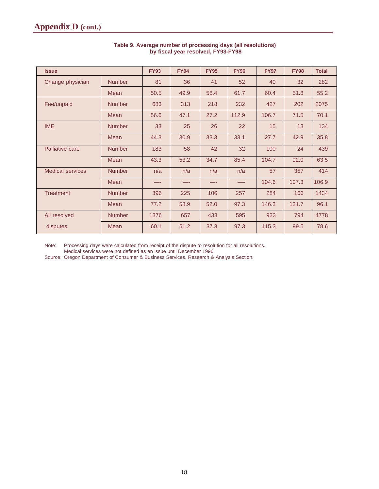| <b>Issue</b>            |               | <b>FY93</b> | <b>FY94</b> | <b>FY95</b> | <b>FY96</b> | <b>FY97</b> | <b>FY98</b> | <b>Total</b> |
|-------------------------|---------------|-------------|-------------|-------------|-------------|-------------|-------------|--------------|
| Change physician        | <b>Number</b> | 81          | 36          | 41          | 52          | 40          | 32          | 282          |
|                         | Mean          | 50.5        | 49.9        | 58.4        | 61.7        | 60.4        | 51.8        | 55.2         |
| Fee/unpaid              | <b>Number</b> | 683         | 313         | 218         | 232         | 427         | 202         | 2075         |
|                         | Mean          | 56.6        | 47.1        | 27.2        | 112.9       | 106.7       | 71.5        | 70.1         |
| <b>IME</b>              | <b>Number</b> | 33          | 25          | 26          | 22          | 15          | 13          | 134          |
|                         | Mean          | 44.3        | 30.9        | 33.3        | 33.1        | 27.7        | 42.9        | 35.8         |
| Palliative care         | <b>Number</b> | 183         | 58          | 42          | 32          | 100         | 24          | 439          |
|                         | Mean          | 43.3        | 53.2        | 34.7        | 85.4        | 104.7       | 92.0        | 63.5         |
| <b>Medical services</b> | <b>Number</b> | n/a         | n/a         | n/a         | n/a         | 57          | 357         | 414          |
|                         | Mean          |             |             |             |             | 104.6       | 107.3       | 106.9        |
| <b>Treatment</b>        | <b>Number</b> | 396         | 225         | 106         | 257         | 284         | 166         | 1434         |
|                         | Mean          | 77.2        | 58.9        | 52.0        | 97.3        | 146.3       | 131.7       | 96.1         |
| All resolved            | <b>Number</b> | 1376        | 657         | 433         | 595         | 923         | 794         | 4778         |
| disputes                | Mean          | 60.1        | 51.2        | 37.3        | 97.3        | 115.3       | 99.5        | 78.6         |

#### **Table 9. Average number of processing days (all resolutions) by fiscal year resolved, FY93-FY98**

Note: Processing days were calculated from receipt of the dispute to resolution for all resolutions.

Medical services were not defined as an issue until December 1996.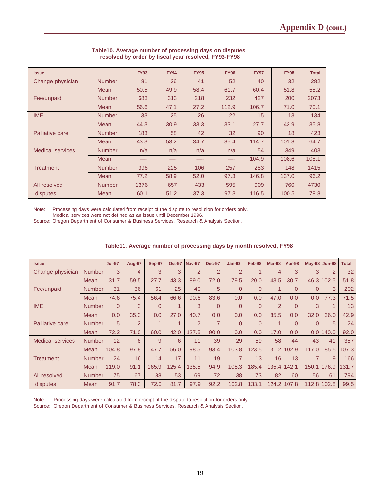| <b>Issue</b>            |               | <b>FY93</b> | <b>FY94</b> | <b>FY95</b> | <b>FY96</b> | <b>FY97</b> | <b>FY98</b> | <b>Total</b> |
|-------------------------|---------------|-------------|-------------|-------------|-------------|-------------|-------------|--------------|
| Change physician        | <b>Number</b> | 81          | 36          | 41          | 52          | 40          | 32          | 282          |
|                         | Mean          | 50.5        | 49.9        | 58.4        | 61.7        | 60.4        | 51.8        | 55.2         |
| Fee/unpaid              | <b>Number</b> | 683         | 313         | 218         | 232         | 427         | 200         | 2073         |
|                         | Mean          | 56.6        | 47.1        | 27.2        | 112.9       | 106.7       | 71.0        | 70.1         |
| <b>IME</b>              | <b>Number</b> | 33          | 25          | 26          | 22          | 15          | 13          | 134          |
|                         | Mean          | 44.3        | 30.9        | 33.3        | 33.1        | 27.7        | 42.9        | 35.8         |
| Palliative care         | <b>Number</b> | 183         | 58          | 42          | 32          | 90          | 18          | 423          |
|                         | Mean          | 43.3        | 53.2        | 34.7        | 85.4        | 114.7       | 101.8       | 64.7         |
| <b>Medical services</b> | <b>Number</b> | n/a         | n/a         | n/a         | n/a         | 54          | 349         | 403          |
|                         | Mean          |             |             |             |             | 104.9       | 108.6       | 108.1        |
| Treatment               | <b>Number</b> | 396         | 225         | 106         | 257         | 283         | 148         | 1415         |
|                         | Mean          | 77.2        | 58.9        | 52.0        | 97.3        | 146.8       | 137.0       | 96.2         |
| All resolved            | <b>Number</b> | 1376        | 657         | 433         | 595         | 909         | 760         | 4730         |
| disputes                | Mean          | 60.1        | 51.2        | 37.3        | 97.3        | 116.5       | 100.5       | 78.8         |

#### **Table10. Average number of processing days on disputes resolved by order by fiscal year resolved, FY93-FY98**

Note: Processing days were calculated from receipt of the dispute to resolution for orders only.

Medical services were not defined as an issue until December 1996.

Source: Oregon Department of Consumer & Business Services, Research & Analysis Section.

| <b>Issue</b>            |               | <b>Jul-97</b> | Aug-97         | Sep-97   | <b>Oct-97</b> | <b>Nov-97</b>  | <b>Dec-97</b>  | <b>Jan-98</b>  | Feb-98   | Mar-98 | Apr-98      | <b>May-98</b> | <b>Jun-98</b>  | <b>Total</b> |
|-------------------------|---------------|---------------|----------------|----------|---------------|----------------|----------------|----------------|----------|--------|-------------|---------------|----------------|--------------|
| Change physician        | <b>Number</b> | 3             | $\overline{4}$ | 3        | 3             | $\overline{2}$ | $\overline{2}$ | 2              |          | 4      | 3           | 3             | $\overline{2}$ | 32           |
|                         | Mean          | 31.7          | 59.5           | 27.7     | 43.3          | 89.0           | 72.0           | 79.5           | 20.0     | 43.5   | 30.7        |               | 46.3 102.5     | 51.8         |
| Fee/unpaid              | Number        | 31            | 36             | 61       | 25            | 40             | 5              | $\Omega$       | $\Omega$ |        | 0           | $\Omega$      | 3              | 202          |
|                         | Mean          | 74.6          | 75.4           | 56.4     | 66.6          | 90.6           | 83.6           | 0.0            | 0.0      | 47.0   | 0.0         | 0.0           | 77.3           | 71.5         |
| <b>IME</b>              | <b>Number</b> | $\Omega$      | 3              | $\Omega$ |               | 3              | $\Omega$       | $\Omega$       | $\Omega$ | 2      | 0           | 3             |                | 13           |
|                         | <b>Mean</b>   | 0.0           | 35.3           | 0.0      | 27.0          | 40.7           | 0.0            | 0.0            | 0.0      | 85.5   | 0.0         | 32.0          | 36.0           | 42.9         |
| Palliative care         | <b>Number</b> | 5             | $\overline{2}$ |          |               | $\overline{2}$ | $\overline{7}$ | $\Omega$       | $\Omega$ |        | 0           |               | 5              | 24           |
|                         | Mean          | 72.2          | 71.0           | 60.0     | 42.0          | 127.5          | 90.0           | 0.0            | 0.0      | 17.0   | 0.0         |               | 0.01140.0      | 92.0         |
| <b>Medical services</b> | <b>Number</b> | 12            | 6              | 9        | 6             | 11             | 39             | 29             | 59       | 58     | 44          | 43            | 41             | 357          |
|                         | <b>Mean</b>   | 104.8         | 97.8           | 47.7     | 56.0          | 98.5           | 93.4           | 103.8          | 123.5    | 131.2  | 102.9       | 117.0         | 85.5           | 107.3        |
| Treatment               | <b>Number</b> | 24            | 16             | 14       | 17            | 11             | 19             | $\overline{7}$ | 13       | 16     | 13          |               | 9              | 166          |
|                         | Mean          | 119.0         | 91.1           | 165.9    | 125.4         | 135.5          | 94.9           | 105.3          | 185.4    | 135.4  | 142.1       | 150.1         | 176.9          | 131.7        |
| All resolved            | <b>Number</b> | 75            | 67             | 88       | 53            | 69             | 72             | 38             | 73       | 82     | 60          | 56            | 61             | 794          |
| disputes                | <b>Mean</b>   | 91.7          | 78.3           | 72.0     | 81.7          | 97.9           | 92.2           | 102.8          | 133.1    |        | 124.2 107.8 | 112.8 102.8   |                | 99.5         |

#### **Table11. Average number of processing days by month resolved, FY98**

Note: Processing days were calculated from receipt of the dispute to resolution for orders only. Source: Oregon Department of Consumer & Business Services, Research & Analysis Section.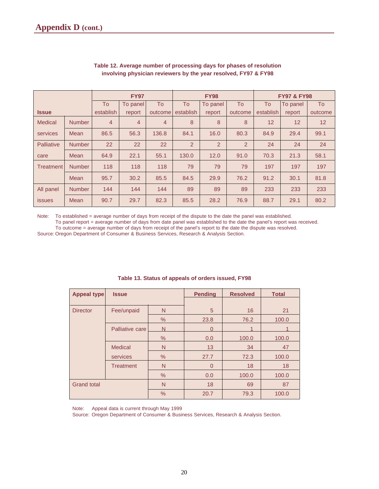|                   |               | <b>FY97</b>    |                |         |                | <b>FY98</b>    |                | <b>FY97 &amp; FY98</b> |                 |                 |  |
|-------------------|---------------|----------------|----------------|---------|----------------|----------------|----------------|------------------------|-----------------|-----------------|--|
|                   |               | To             | To panel       | To      | <b>To</b>      | To panel       | To             | To                     | To panel        | To              |  |
| <b>Issue</b>      |               | establish      | report         | outcome | establish      | report         | outcome        | establish              | report          | outcome         |  |
| <b>Medical</b>    | <b>Number</b> | $\overline{4}$ | $\overline{4}$ | 4       | 8              | 8              | 8              | 12                     | 12 <sup>2</sup> | 12 <sup>2</sup> |  |
| services          | Mean          | 86.5           | 56.3           | 136.8   | 84.1           | 16.0           | 80.3           | 84.9                   | 29.4            | 99.1            |  |
| <b>Palliative</b> | <b>Number</b> | 22             | 22             | 22      | $\overline{2}$ | $\overline{2}$ | $\overline{2}$ | 24                     | 24              | 24              |  |
| care              | Mean          | 64.9           | 22.1           | 55.1    | 130.0          | 12.0           | 91.0           | 70.3                   | 21.3            | 58.1            |  |
| Treatment         | <b>Number</b> | 118            | 118            | 118     | 79             | 79             | 79             | 197                    | 197             | 197             |  |
|                   | Mean          | 95.7           | 30.2           | 85.5    | 84.5           | 29.9           | 76.2           | 91.2                   | 30.1            | 81.8            |  |
| All panel         | <b>Number</b> | 144            | 144            | 144     | 89             | 89             | 89             | 233                    | 233             | 233             |  |
| <b>issues</b>     | Mean          | 90.7           | 29.7           | 82.3    | 85.5           | 28.2           | 76.9           | 88.7                   | 29.1            | 80.2            |  |

#### **Table 12. Average number of processing days for phases of resolution involving physician reviewers by the year resolved, FY97 & FY98**

Note: To established = average number of days from receipt of the dispute to the date the panel was established. To panel report = average number of days from date panel was established to the date the panel's report was received.

To outcome = average number of days from receipt of the panel's report to the date the dispute was resolved. Source: Oregon Department of Consumer & Business Services, Research & Analysis Section.

| Appeal type        | <b>Issue</b>     |               | <b>Pending</b> | <b>Resolved</b> | <b>Total</b> |
|--------------------|------------------|---------------|----------------|-----------------|--------------|
|                    |                  |               |                |                 |              |
| <b>Director</b>    | Fee/unpaid       | N             | 5              | 16              | 21           |
|                    |                  | %             | 23.8           | 76.2            | 100.0        |
|                    | Palliative care  | N             | U              |                 |              |
|                    |                  | %             | 0.0            | 100.0           | 100.0        |
|                    | <b>Medical</b>   | N             | 13             | 34              | 47           |
|                    | services         | $\%$          | 27.7           | 72.3            | 100.0        |
|                    | <b>Treatment</b> | N             | $\overline{0}$ | 18              | 18           |
|                    |                  | $\frac{0}{0}$ | 0.0            | 100.0           | 100.0        |
| <b>Grand total</b> |                  | N             | 18             | 69              | 87           |
|                    |                  | %             | 20.7           | 79.3            | 100.0        |

**Table 13. Status of appeals of orders issued, FY98**

Note: Appeal data is current through May 1999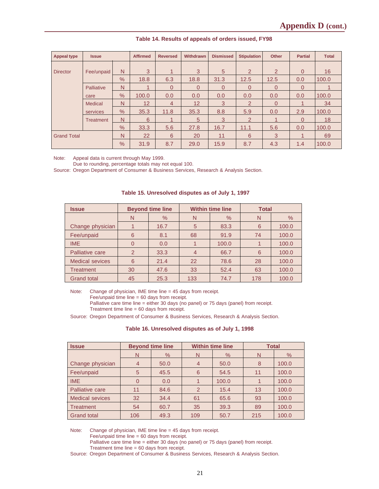| <b>Appeal type</b> | <b>Issue</b> |               | <b>Affirmed</b> | <b>Reversed</b> | Withdrawn | <b>Dismissed</b> | <b>Stipulation</b> | <b>Other</b> | <b>Partial</b> | <b>Total</b> |
|--------------------|--------------|---------------|-----------------|-----------------|-----------|------------------|--------------------|--------------|----------------|--------------|
|                    |              |               |                 |                 |           |                  |                    |              |                |              |
| <b>Director</b>    | Fee/unpaid   | N             | 3               | 1               | 3         | 5                | $\overline{2}$     | 2            | $\Omega$       | 16           |
|                    |              | $\frac{9}{6}$ | 18.8            | 6.3             | 18.8      | 31.3             | 12.5               | 12.5         | 0.0            | 100.0        |
|                    | Palliative   | N             |                 | $\Omega$        | $\Omega$  | $\Omega$         | 0                  | $\Omega$     | 0              |              |
|                    | care         | %             | 100.0           | 0.0             | 0.0       | 0.0              | 0.0                | 0.0          | 0.0            | 100.0        |
|                    | Medical      | N             | 12              | $\overline{4}$  | 12        | 3                | $\mathcal{P}$      | $\Omega$     |                | 34           |
|                    | services     | $\%$          | 35.3            | 11.8            | 35.3      | 8.8              | 5.9                | 0.0          | 2.9            | 100.0        |
|                    | Treatment    | N             | 6               |                 | 5         | 3                | $\overline{2}$     |              | $\Omega$       | 18           |
|                    |              | $\%$          | 33.3            | 5.6             | 27.8      | 16.7             | 11.1               | 5.6          | 0.0            | 100.0        |
| <b>Grand Total</b> |              | N             | 22              | 6               | 20        | 11               | 6                  | 3            |                | 69           |
|                    |              | $\frac{1}{2}$ | 31.9            | 8.7             | 29.0      | 15.9             | 8.7                | 4.3          | 1.4            | 100.0        |

#### **Table 14. Results of appeals of orders issued, FY98**

Note: Appeal data is current through May 1999.

Due to rounding, percentage totals may not equal 100.

Source: Oregon Department of Consumer & Business Services, Research & Analysis Section.

| <b>Issue</b>           |               | <b>Beyond time line</b> |                | <b>Within time line</b> | <b>Total</b> |       |
|------------------------|---------------|-------------------------|----------------|-------------------------|--------------|-------|
|                        | N             | $\%$                    | N              | $\frac{0}{0}$           | N            | $\%$  |
| Change physician       |               | 16.7                    | 5              | 83.3                    | 6            | 100.0 |
| Fee/unpaid             | 6             | 8.1                     | 68             | 91.9                    | 74           | 100.0 |
| <b>IME</b>             | 0             | 0.0                     |                | 100.0                   |              | 100.0 |
| Palliative care        | $\mathcal{P}$ | 33.3                    | $\overline{4}$ | 66.7                    | 6            | 100.0 |
| <b>Medical sevices</b> | 6             | 21.4                    | 22             | 78.6                    | 28           | 100.0 |
| <b>Treatment</b>       | 30            | 47.6                    | 33             | 52.4                    | 63           | 100.0 |
| <b>Grand total</b>     | 45            | 25.3                    | 133            | 74.7                    | 178          | 100.0 |

**Table 15. Unresolved disputes as of July 1, 1997**

Note: Change of physician, IME time line = 45 days from receipt.

Fee/unpaid time line = 60 days from receipt.

Palliative care time line = either 30 days (no panel) or 75 days (panel) from receipt. Treatment time line = 60 days from receipt.

Source: Oregon Department of Consumer & Business Services, Research & Analysis Section.

**Table 16. Unresolved disputes as of July 1, 1998**

| <b>Issue</b>           |                | <b>Beyond time line</b> | <b>Within time line</b> |       | <b>Total</b> |       |
|------------------------|----------------|-------------------------|-------------------------|-------|--------------|-------|
|                        | N              | $\%$                    | N                       | $\%$  | N            | $\%$  |
| Change physician       | $\overline{4}$ | 50.0                    | $\overline{4}$          | 50.0  | 8            | 100.0 |
| Fee/unpaid             | 5              | 45.5                    | 6                       | 54.5  | 11           | 100.0 |
| <b>IME</b>             | $\overline{0}$ | 0.0                     |                         | 100.0 |              | 100.0 |
| Palliative care        | 11             | 84.6                    | 2                       | 15.4  | 13           | 100.0 |
| <b>Medical sevices</b> | 32             | 34.4                    | 61                      | 65.6  | 93           | 100.0 |
| <b>Treatment</b>       | 54             | 60.7                    | 35                      | 39.3  | 89           | 100.0 |
| <b>Grand total</b>     | 106            | 49.3                    | 109                     | 50.7  | 215          | 100.0 |

Note: Change of physician, IME time line = 45 days from receipt.

Fee/unpaid time line = 60 days from receipt.

Palliative care time line = either 30 days (no panel) or 75 days (panel) from receipt.

Treatment time line = 60 days from receipt.